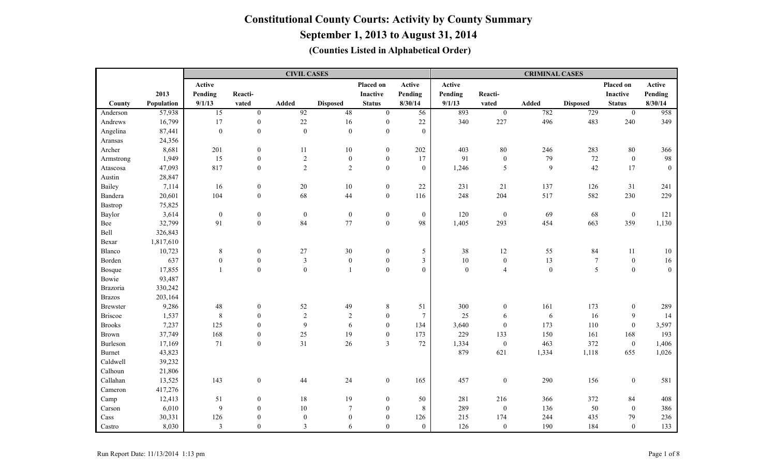|                 |            |                  |                  | <b>CIVIL CASES</b> |                  |                  |                  |                  |                  | <b>CRIMINAL CASES</b> |                  |                  |              |
|-----------------|------------|------------------|------------------|--------------------|------------------|------------------|------------------|------------------|------------------|-----------------------|------------------|------------------|--------------|
|                 |            | Active           |                  |                    |                  | Placed on        | Active           | Active           |                  |                       |                  | Placed on        | Active       |
|                 | 2013       | Pending          | Reacti-          |                    |                  | Inactive         | Pending          | Pending          | Reacti-          |                       |                  | <b>Inactive</b>  | Pending      |
| County          | Population | 9/1/13           | vated            | <b>Added</b>       | <b>Disposed</b>  | <b>Status</b>    | 8/30/14          | 9/1/13           | vated            | Added                 | <b>Disposed</b>  | <b>Status</b>    | 8/30/14      |
| Anderson        | 57,938     | $\overline{15}$  | $\overline{0}$   | $\overline{92}$    | 48               | $\overline{0}$   | $\overline{56}$  | 893              | $\overline{0}$   | 782                   | 729              | $\boldsymbol{0}$ | 958          |
| Andrews         | 16,799     | $17\,$           | $\boldsymbol{0}$ | 22                 | 16               | $\boldsymbol{0}$ | $22\,$           | 340              | 227              | 496                   | 483              | 240              | 349          |
| Angelina        | 87,441     | $\boldsymbol{0}$ | $\boldsymbol{0}$ | $\boldsymbol{0}$   | $\mathbf{0}$     | $\boldsymbol{0}$ | $\boldsymbol{0}$ |                  |                  |                       |                  |                  |              |
| Aransas         | 24,356     |                  |                  |                    |                  |                  |                  |                  |                  |                       |                  |                  |              |
| Archer          | 8,681      | 201              | $\boldsymbol{0}$ | 11                 | 10               | $\boldsymbol{0}$ | 202              | 403              | 80               | 246                   | 283              | 80               | 366          |
| Armstrong       | 1,949      | 15               | $\boldsymbol{0}$ | $\sqrt{2}$         | $\boldsymbol{0}$ | $\boldsymbol{0}$ | 17               | 91               | $\boldsymbol{0}$ | 79                    | $72\,$           | $\mathbf{0}$     | 98           |
| Atascosa        | 47,093     | 817              | $\boldsymbol{0}$ | $\sqrt{2}$         | $\sqrt{2}$       | $\boldsymbol{0}$ | $\boldsymbol{0}$ | 1,246            | 5                | $\overline{9}$        | $42\,$           | 17               | $\mathbf{0}$ |
| Austin          | 28,847     |                  |                  |                    |                  |                  |                  |                  |                  |                       |                  |                  |              |
| Bailey          | 7,114      | 16               | $\boldsymbol{0}$ | 20                 | 10               | $\boldsymbol{0}$ | 22               | 231              | 21               | 137                   | 126              | 31               | 241          |
| Bandera         | 20,601     | 104              | $\boldsymbol{0}$ | 68                 | 44               | $\boldsymbol{0}$ | 116              | 248              | 204              | 517                   | 582              | 230              | 229          |
| Bastrop         | 75,825     |                  |                  |                    |                  |                  |                  |                  |                  |                       |                  |                  |              |
| Baylor          | 3,614      | $\boldsymbol{0}$ | $\boldsymbol{0}$ | $\boldsymbol{0}$   | $\boldsymbol{0}$ | $\boldsymbol{0}$ | $\boldsymbol{0}$ | 120              | $\boldsymbol{0}$ | 69                    | 68               | $\mathbf{0}$     | 121          |
| Bee             | 32,799     | 91               | $\boldsymbol{0}$ | 84                 | 77               | $\boldsymbol{0}$ | 98               | 1,405            | 293              | 454                   | 663              | 359              | 1,130        |
| Bell            | 326,843    |                  |                  |                    |                  |                  |                  |                  |                  |                       |                  |                  |              |
| Bexar           | 1,817,610  |                  |                  |                    |                  |                  |                  |                  |                  |                       |                  |                  |              |
| Blanco          | 10,723     | $\,8\,$          | $\boldsymbol{0}$ | $27\,$             | $30\,$           | $\boldsymbol{0}$ | $\mathfrak{S}$   | 38               | $12\,$           | 55                    | 84               | 11               | 10           |
| Borden          | 637        | $\boldsymbol{0}$ | $\boldsymbol{0}$ | $\mathfrak{Z}$     | $\boldsymbol{0}$ | $\boldsymbol{0}$ | $\mathfrak{Z}$   | $10\,$           | $\boldsymbol{0}$ | 13                    | $\boldsymbol{7}$ | $\boldsymbol{0}$ | 16           |
| Bosque          | 17,855     | $\mathbf{1}$     | $\boldsymbol{0}$ | $\boldsymbol{0}$   | $\mathbf{1}$     | $\boldsymbol{0}$ | $\mathbf{0}$     | $\boldsymbol{0}$ | $\overline{4}$   | $\boldsymbol{0}$      | $\sqrt{5}$       | $\mathbf{0}$     | $\mathbf{0}$ |
| Bowie           | 93,487     |                  |                  |                    |                  |                  |                  |                  |                  |                       |                  |                  |              |
| Brazoria        | 330,242    |                  |                  |                    |                  |                  |                  |                  |                  |                       |                  |                  |              |
| <b>Brazos</b>   | 203,164    |                  |                  |                    |                  |                  |                  |                  |                  |                       |                  |                  |              |
| <b>Brewster</b> | 9,286      | $48\,$           | $\boldsymbol{0}$ | 52                 | 49               | $\,$ 8 $\,$      | 51               | 300              | $\boldsymbol{0}$ | 161                   | 173              | $\boldsymbol{0}$ | 289          |
| <b>Briscoe</b>  | 1,537      | $\,8\,$          | $\boldsymbol{0}$ | $\overline{2}$     | $\overline{2}$   | $\boldsymbol{0}$ | $\overline{7}$   | 25               | 6                | 6                     | 16               | 9                | 14           |
| <b>Brooks</b>   | 7,237      | 125              | $\boldsymbol{0}$ | $\mathbf{9}$       | 6                | $\mathbf{0}$     | 134              | 3,640            | $\boldsymbol{0}$ | 173                   | 110              | $\overline{0}$   | 3,597        |
| <b>Brown</b>    | 37,749     | 168              | $\boldsymbol{0}$ | 25                 | 19               | $\boldsymbol{0}$ | 173              | 229              | 133              | 150                   | 161              | 168              | 193          |
| Burleson        | 17,169     | 71               | $\boldsymbol{0}$ | 31                 | 26               | $\mathfrak{Z}$   | 72               | 1,334            | $\boldsymbol{0}$ | 463                   | 372              | $\mathbf{0}$     | 1,406        |
| <b>Burnet</b>   | 43,823     |                  |                  |                    |                  |                  |                  | 879              | 621              | 1,334                 | 1,118            | 655              | 1,026        |
| Caldwell        | 39,232     |                  |                  |                    |                  |                  |                  |                  |                  |                       |                  |                  |              |
| Calhoun         | 21,806     |                  |                  |                    |                  |                  |                  |                  |                  |                       |                  |                  |              |
| Callahan        | 13,525     | 143              | $\boldsymbol{0}$ | 44                 | 24               | $\boldsymbol{0}$ | 165              | 457              | $\boldsymbol{0}$ | 290                   | 156              | $\mathbf{0}$     | 581          |
| Cameron         | 417,276    |                  |                  |                    |                  |                  |                  |                  |                  |                       |                  |                  |              |
| Camp            | 12,413     | 51               | $\boldsymbol{0}$ | $18\,$             | 19               | $\boldsymbol{0}$ | 50               | 281              | 216              | 366                   | 372              | 84               | 408          |
| Carson          | 6,010      | 9                | $\boldsymbol{0}$ | 10                 | $\overline{7}$   | $\mathbf{0}$     | 8                | 289              | $\boldsymbol{0}$ | 136                   | 50               | $\mathbf{0}$     | 386          |
| Cass            | 30,331     | 126              | $\mathbf{0}$     | $\boldsymbol{0}$   | $\boldsymbol{0}$ | $\mathbf{0}$     | 126              | 215              | 174              | 244                   | 435              | 79               | 236          |
| Castro          | 8,030      | $\mathfrak{Z}$   | $\mathbf{0}$     | $\mathfrak{Z}$     | 6                | $\mathbf{0}$     | $\boldsymbol{0}$ | 126              | $\boldsymbol{0}$ | 190                   | 184              | $\overline{0}$   | 133          |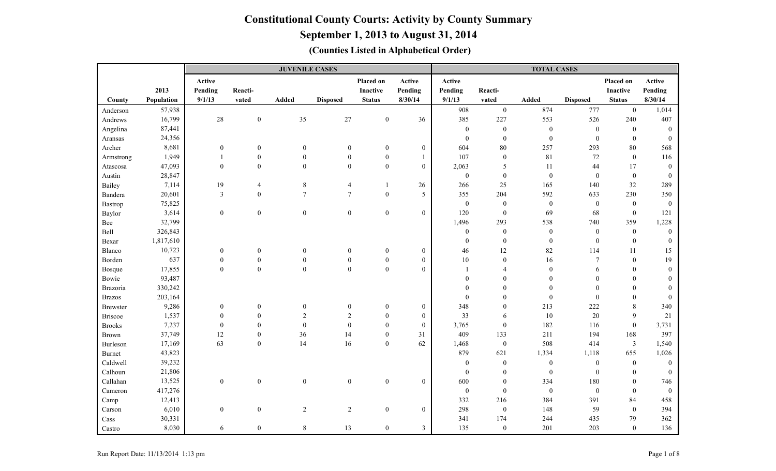**September 1, 2013 to August 31, 2014**

|                 |            |                  |                  | <b>JUVENILE CASES</b> |                  |                  |                  |                  |                  | <b>TOTAL CASES</b> |                  |                  |                  |
|-----------------|------------|------------------|------------------|-----------------------|------------------|------------------|------------------|------------------|------------------|--------------------|------------------|------------------|------------------|
|                 |            | Active           |                  |                       |                  | Placed on        | Active           | Active           |                  |                    |                  | Placed on        | Active           |
|                 | 2013       | Pending          | Reacti-          |                       |                  | <b>Inactive</b>  | Pending          | Pending          | Reacti-          |                    |                  | Inactive         | Pending          |
| County          | Population | 9/1/13           | vated            | <b>Added</b>          | <b>Disposed</b>  | <b>Status</b>    | 8/30/14          | 9/1/13           | vated            | Added              | <b>Disposed</b>  | <b>Status</b>    | 8/30/14          |
| Anderson        | 57,938     |                  |                  |                       |                  |                  |                  | 908              | $\mathbf{0}$     | 874                | 777              | $\mathbf{0}$     | 1,014            |
| Andrews         | 16,799     | 28               | $\boldsymbol{0}$ | $35\,$                | $27\,$           | $\boldsymbol{0}$ | 36               | 385              | 227              | 553                | 526              | 240              | 407              |
| Angelina        | 87,441     |                  |                  |                       |                  |                  |                  | $\mathbf{0}$     | $\boldsymbol{0}$ | $\boldsymbol{0}$   | $\boldsymbol{0}$ | $\mathbf{0}$     | $\theta$         |
| Aransas         | 24,356     |                  |                  |                       |                  |                  |                  | $\mathbf{0}$     | $\boldsymbol{0}$ | $\boldsymbol{0}$   | $\mathbf{0}$     | $\mathbf{0}$     | $\theta$         |
| Archer          | 8,681      | $\boldsymbol{0}$ | $\boldsymbol{0}$ | $\boldsymbol{0}$      | $\boldsymbol{0}$ | $\boldsymbol{0}$ | $\boldsymbol{0}$ | 604              | $80\,$           | 257                | 293              | 80               | 568              |
| Armstrong       | 1,949      |                  | $\boldsymbol{0}$ | $\boldsymbol{0}$      | $\boldsymbol{0}$ | $\boldsymbol{0}$ |                  | 107              | $\boldsymbol{0}$ | 81                 | 72               | $\boldsymbol{0}$ | 116              |
| Atascosa        | 47,093     | $\boldsymbol{0}$ | $\mathbf{0}$     | $\mathbf{0}$          | $\mathbf{0}$     | $\overline{0}$   | $\overline{0}$   | 2,063            | 5                | 11                 | 44               | 17               | $\theta$         |
| Austin          | 28,847     |                  |                  |                       |                  |                  |                  | $\boldsymbol{0}$ | $\boldsymbol{0}$ | $\boldsymbol{0}$   | $\boldsymbol{0}$ | $\mathbf{0}$     | $\mathbf{0}$     |
| Bailey          | 7,114      | 19               | $\overline{4}$   | $\,8\,$               | $\overline{4}$   | $\mathbf{1}$     | 26               | 266              | 25               | 165                | 140              | 32               | 289              |
| Bandera         | 20,601     | 3                | $\overline{0}$   | $\overline{7}$        | $\tau$           | $\boldsymbol{0}$ | 5                | 355              | 204              | 592                | 633              | 230              | 350              |
| Bastrop         | 75,825     |                  |                  |                       |                  |                  |                  | $\mathbf{0}$     | $\boldsymbol{0}$ | $\boldsymbol{0}$   | $\boldsymbol{0}$ | $\mathbf{0}$     | $\mathbf{0}$     |
| Baylor          | 3,614      | $\boldsymbol{0}$ | $\overline{0}$   | $\mathbf{0}$          | $\boldsymbol{0}$ | $\overline{0}$   | $\overline{0}$   | 120              | $\boldsymbol{0}$ | 69                 | 68               | $\mathbf{0}$     | 121              |
| Bee             | 32,799     |                  |                  |                       |                  |                  |                  | 1,496            | 293              | 538                | 740              | 359              | 1,228            |
| Bell            | 326,843    |                  |                  |                       |                  |                  |                  | $\mathbf{0}$     | $\boldsymbol{0}$ | $\boldsymbol{0}$   | $\boldsymbol{0}$ | $\boldsymbol{0}$ | $\boldsymbol{0}$ |
| Bexar           | 1,817,610  |                  |                  |                       |                  |                  |                  | $\mathbf{0}$     | $\boldsymbol{0}$ | $\boldsymbol{0}$   | $\boldsymbol{0}$ | $\mathbf{0}$     | $\mathbf{0}$     |
| Blanco          | 10,723     | $\boldsymbol{0}$ | $\boldsymbol{0}$ | $\theta$              | $\mathbf{0}$     | $\boldsymbol{0}$ | $\boldsymbol{0}$ | 46               | 12               | 82                 | 114              | 11               | 15               |
| Borden          | 637        | $\boldsymbol{0}$ | $\boldsymbol{0}$ | $\boldsymbol{0}$      | $\boldsymbol{0}$ | $\boldsymbol{0}$ | $\boldsymbol{0}$ | $10\,$           | $\boldsymbol{0}$ | 16                 | $\overline{7}$   | $\boldsymbol{0}$ | 19               |
| Bosque          | 17,855     | $\boldsymbol{0}$ | $\boldsymbol{0}$ | $\boldsymbol{0}$      | $\boldsymbol{0}$ | $\boldsymbol{0}$ | $\boldsymbol{0}$ | $\mathbf{1}$     | 4                | $\boldsymbol{0}$   | 6                | $\theta$         | $\overline{0}$   |
| Bowie           | 93,487     |                  |                  |                       |                  |                  |                  | $\overline{0}$   | $\mathbf{0}$     | $\boldsymbol{0}$   | $\theta$         | $\Omega$         | $\Omega$         |
| Brazoria        | 330,242    |                  |                  |                       |                  |                  |                  | $\Omega$         | $\mathbf{0}$     | $\boldsymbol{0}$   | $\mathbf{0}$     | $\theta$         | $\theta$         |
| <b>Brazos</b>   | 203,164    |                  |                  |                       |                  |                  |                  | $\theta$         | $\theta$         | $\boldsymbol{0}$   | $\boldsymbol{0}$ | $\theta$         | $\Omega$         |
| <b>Brewster</b> | 9,286      | $\boldsymbol{0}$ | $\boldsymbol{0}$ | $\boldsymbol{0}$      | $\boldsymbol{0}$ | $\boldsymbol{0}$ | $\boldsymbol{0}$ | 348              | $\mathbf{0}$     | 213                | 222              | $\,8\,$          | 340              |
| <b>Briscoe</b>  | 1,537      | $\boldsymbol{0}$ | $\boldsymbol{0}$ | $\overline{2}$        | $\overline{2}$   | $\mathbf{0}$     | $\mathbf{0}$     | 33               | 6                | $10\,$             | 20               | 9                | 21               |
| <b>Brooks</b>   | 7,237      | $\boldsymbol{0}$ | $\mathbf{0}$     | $\mathbf{0}$          | $\boldsymbol{0}$ | $\mathbf{0}$     | $\mathbf{0}$     | 3,765            | $\boldsymbol{0}$ | 182                | 116              | $\boldsymbol{0}$ | 3,731            |
| Brown           | 37,749     | 12               | $\mathbf{0}$     | 36                    | 14               | $\mathbf{0}$     | 31               | 409              | 133              | 211                | 194              | 168              | 397              |
| Burleson        | 17,169     | 63               | $\overline{0}$   | 14                    | 16               | $\mathbf{0}$     | 62               | 1,468            | $\boldsymbol{0}$ | 508                | 414              | $\mathfrak{Z}$   | 1,540            |
| <b>Burnet</b>   | 43,823     |                  |                  |                       |                  |                  |                  | 879              | 621              | 1,334              | 1,118            | 655              | 1,026            |
| Caldwell        | 39,232     |                  |                  |                       |                  |                  |                  | $\mathbf{0}$     | $\boldsymbol{0}$ | $\boldsymbol{0}$   | $\boldsymbol{0}$ | $\mathbf{0}$     | $\mathbf{0}$     |
| Calhoun         | 21,806     |                  |                  |                       |                  |                  |                  | $\mathbf{0}$     | $\mathbf{0}$     | $\boldsymbol{0}$   | $\boldsymbol{0}$ | $\theta$         | $\theta$         |
| Callahan        | 13,525     | $\boldsymbol{0}$ | $\boldsymbol{0}$ | $\boldsymbol{0}$      | $\boldsymbol{0}$ | $\boldsymbol{0}$ | $\mathbf{0}$     | 600              | $\boldsymbol{0}$ | 334                | 180              | $\mathbf{0}$     | 746              |
| Cameron         | 417,276    |                  |                  |                       |                  |                  |                  | $\mathbf{0}$     | $\boldsymbol{0}$ | $\boldsymbol{0}$   | $\boldsymbol{0}$ | $\mathbf{0}$     | $\boldsymbol{0}$ |
| Camp            | 12,413     |                  |                  |                       |                  |                  |                  | 332              | 216              | 384                | 391              | 84               | 458              |
| Carson          | 6,010      | $\boldsymbol{0}$ | $\boldsymbol{0}$ | 2                     | $\overline{c}$   | $\mathbf{0}$     | $\overline{0}$   | 298              | $\boldsymbol{0}$ | 148                | 59               | $\mathbf{0}$     | 394              |
| Cass            | 30,331     |                  |                  |                       |                  |                  |                  | 341              | 174              | 244                | 435              | 79               | 362              |
| Castro          | 8,030      | 6                | $\boldsymbol{0}$ | $\,8\,$               | 13               | $\boldsymbol{0}$ | $\mathfrak{Z}$   | 135              | $\boldsymbol{0}$ | 201                | 203              | $\boldsymbol{0}$ | 136              |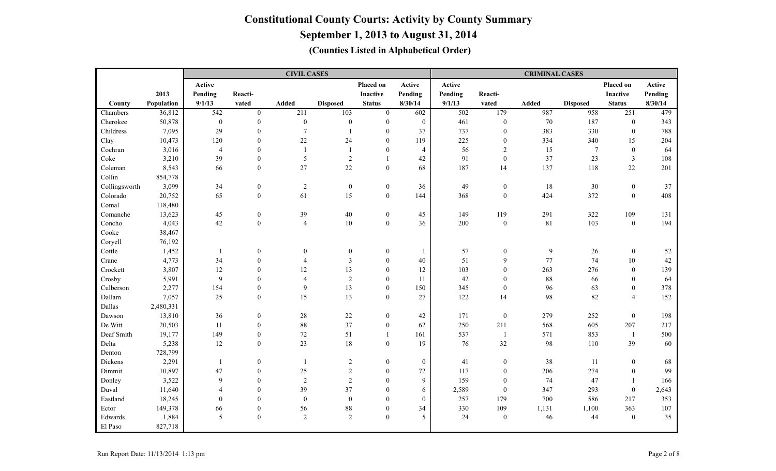|               |            |                  |                  | <b>CIVIL CASES</b> |                  |                  |                  |         |                  | <b>CRIMINAL CASES</b> |                  |                  |         |
|---------------|------------|------------------|------------------|--------------------|------------------|------------------|------------------|---------|------------------|-----------------------|------------------|------------------|---------|
|               |            | Active           |                  |                    |                  | Placed on        | Active           | Active  |                  |                       |                  | Placed on        | Active  |
|               | 2013       | Pending          | Reacti-          |                    |                  | Inactive         | Pending          | Pending | Reacti-          |                       |                  | <b>Inactive</b>  | Pending |
| County        | Population | 9/1/13           | vated            | Added              | <b>Disposed</b>  | <b>Status</b>    | 8/30/14          | 9/1/13  | vated            | <b>Added</b>          | <b>Disposed</b>  | <b>Status</b>    | 8/30/14 |
| Chambers      | 36,812     | $\overline{542}$ | $\overline{0}$   | 211                | 103              | $\mathbf{0}$     | 602              | 502     | 179              | 987                   | 958              | 251              | 479     |
| Cherokee      | 50,878     | $\boldsymbol{0}$ | $\boldsymbol{0}$ | $\boldsymbol{0}$   | $\bf{0}$         | $\boldsymbol{0}$ | $\boldsymbol{0}$ | 461     | $\boldsymbol{0}$ | 70                    | 187              | $\boldsymbol{0}$ | 343     |
| Childress     | 7,095      | 29               | $\boldsymbol{0}$ | $\tau$             | $\overline{1}$   | $\Omega$         | 37               | 737     | $\boldsymbol{0}$ | 383                   | 330              | $\mathbf{0}$     | 788     |
| Clay          | 10,473     | 120              | $\mathbf{0}$     | 22                 | 24               | $\mathbf{0}$     | 119              | 225     | $\mathbf{0}$     | 334                   | 340              | 15               | 204     |
| Cochran       | 3,016      | $\overline{4}$   | $\mathbf{0}$     |                    | $\overline{1}$   | $\boldsymbol{0}$ | $\overline{4}$   | 56      | $\sqrt{2}$       | 15                    | $\boldsymbol{7}$ | $\boldsymbol{0}$ | 64      |
| Coke          | 3,210      | 39               | $\mathbf{0}$     | 5                  | $\overline{2}$   | $\mathbf{1}$     | 42               | 91      | $\boldsymbol{0}$ | 37                    | 23               | $\mathfrak{Z}$   | 108     |
| Coleman       | 8,543      | 66               | $\boldsymbol{0}$ | 27                 | 22               | $\boldsymbol{0}$ | 68               | 187     | 14               | 137                   | 118              | 22               | 201     |
| Collin        | 854,778    |                  |                  |                    |                  |                  |                  |         |                  |                       |                  |                  |         |
| Collingsworth | 3,099      | 34               | $\boldsymbol{0}$ | $\overline{2}$     | $\mathbf{0}$     | $\boldsymbol{0}$ | 36               | 49      | $\boldsymbol{0}$ | 18                    | $30\,$           | $\boldsymbol{0}$ | 37      |
| Colorado      | 20,752     | 65               | $\boldsymbol{0}$ | 61                 | 15               | $\boldsymbol{0}$ | 144              | 368     | $\boldsymbol{0}$ | 424                   | 372              | $\mathbf{0}$     | 408     |
| Comal         | 118,480    |                  |                  |                    |                  |                  |                  |         |                  |                       |                  |                  |         |
| Comanche      | 13,623     | 45               | $\boldsymbol{0}$ | 39                 | $40\,$           | $\boldsymbol{0}$ | 45               | 149     | 119              | 291                   | 322              | 109              | 131     |
| Concho        | 4,043      | $42\,$           | $\boldsymbol{0}$ | $\overline{4}$     | $10\,$           | $\boldsymbol{0}$ | 36               | 200     | $\boldsymbol{0}$ | 81                    | 103              | $\boldsymbol{0}$ | 194     |
| Cooke         | 38,467     |                  |                  |                    |                  |                  |                  |         |                  |                       |                  |                  |         |
| Coryell       | 76,192     |                  |                  |                    |                  |                  |                  |         |                  |                       |                  |                  |         |
| Cottle        | 1,452      | $\overline{1}$   | $\mathbf{0}$     | $\boldsymbol{0}$   | $\boldsymbol{0}$ | $\boldsymbol{0}$ | $\mathbf{1}$     | 57      | $\boldsymbol{0}$ | 9                     | 26               | $\boldsymbol{0}$ | $52\,$  |
| Crane         | 4,773      | 34               | $\boldsymbol{0}$ | $\overline{4}$     | $\mathfrak{Z}$   | $\mathbf{0}$     | 40               | 51      | 9                | 77                    | 74               | 10               | 42      |
| Crockett      | 3,807      | 12               | $\mathbf{0}$     | 12                 | 13               | $\mathbf{0}$     | 12               | 103     | $\mathbf{0}$     | 263                   | 276              | $\mathbf{0}$     | 139     |
| Crosby        | 5,991      | 9                | $\boldsymbol{0}$ | $\overline{4}$     | $\sqrt{2}$       | $\Omega$         | 11               | 42      | $\mathbf{0}$     | 88                    | 66               | $\Omega$         | 64      |
| Culberson     | 2,277      | 154              | $\boldsymbol{0}$ | 9                  | 13               | $\theta$         | 150              | 345     | $\boldsymbol{0}$ | 96                    | 63               | $\theta$         | 378     |
| Dallam        | 7,057      | 25               | $\mathbf{0}$     | 15                 | 13               | $\overline{0}$   | 27               | 122     | 14               | 98                    | 82               | $\overline{4}$   | 152     |
| Dallas        | 2,480,331  |                  |                  |                    |                  |                  |                  |         |                  |                       |                  |                  |         |
| Dawson        | 13,810     | 36               | $\boldsymbol{0}$ | $28\,$             | $22\,$           | $\boldsymbol{0}$ | 42               | 171     | $\boldsymbol{0}$ | 279                   | 252              | $\boldsymbol{0}$ | 198     |
| De Witt       | 20,503     | 11               | $\boldsymbol{0}$ | $88\,$             | 37               | $\boldsymbol{0}$ | 62               | 250     | 211              | 568                   | 605              | 207              | 217     |
| Deaf Smith    | 19,177     | 149              | $\boldsymbol{0}$ | 72                 | 51               | 1                | 161              | 537     | -1               | 571                   | 853              | -1               | 500     |
| Delta         | 5,238      | 12               | $\boldsymbol{0}$ | 23                 | $18\,$           | $\boldsymbol{0}$ | 19               | 76      | 32               | 98                    | 110              | 39               | 60      |
| Denton        | 728,799    |                  |                  |                    |                  |                  |                  |         |                  |                       |                  |                  |         |
| Dickens       | 2,291      | $\mathbf{1}$     | $\mathbf{0}$     |                    | $\overline{2}$   | $\overline{0}$   | $\boldsymbol{0}$ | 41      | $\mathbf{0}$     | 38                    | 11               | $\mathbf{0}$     | 68      |
| Dimmit        | 10,897     | 47               | $\mathbf{0}$     | 25                 | $\sqrt{2}$       | $\overline{0}$   | 72               | 117     | $\mathbf{0}$     | 206                   | 274              | $\mathbf{0}$     | 99      |
| Donley        | 3,522      | 9                | $\mathbf{0}$     | $\overline{2}$     | $\overline{2}$   | $\mathbf{0}$     | 9                | 159     | $\mathbf{0}$     | 74                    | 47               |                  | 166     |
| Duval         | 11,640     | $\overline{4}$   | $\boldsymbol{0}$ | 39                 | 37               | $\mathbf{0}$     | 6                | 2,589   | $\boldsymbol{0}$ | 347                   | 293              | $\boldsymbol{0}$ | 2,643   |
| Eastland      | 18,245     | $\boldsymbol{0}$ | $\theta$         | $\mathbf{0}$       | $\boldsymbol{0}$ | $\theta$         | $\mathbf{0}$     | 257     | 179              | 700                   | 586              | 217              | 353     |
| Ector         | 149,378    | 66               | $\boldsymbol{0}$ | 56                 | $88\,$           | $\mathbf{0}$     | 34               | 330     | 109              | 1,131                 | 1,100            | 363              | 107     |
| Edwards       | 1,884      | 5                | $\mathbf{0}$     | $\overline{2}$     | 2                | $\mathbf{0}$     | 5                | 24      | $\mathbf{0}$     | 46                    | 44               | $\mathbf{0}$     | 35      |
| El Paso       | 827,718    |                  |                  |                    |                  |                  |                  |         |                  |                       |                  |                  |         |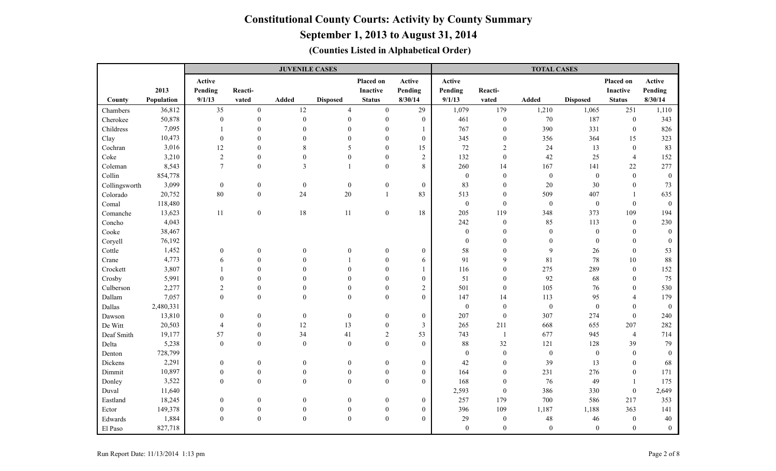### **September 1, 2013 to August 31, 2014**

|               |            |                  |                  | <b>JUVENILE CASES</b>   |                  |                  |                  |                  |                  | <b>TOTAL CASES</b> |                  |                 |                  |
|---------------|------------|------------------|------------------|-------------------------|------------------|------------------|------------------|------------------|------------------|--------------------|------------------|-----------------|------------------|
|               |            | Active           |                  |                         |                  | Placed on        | Active           | Active           |                  |                    |                  | Placed on       | Active           |
|               | 2013       | Pending          | Reacti-          |                         |                  | Inactive         | Pending          | Pending          | Reacti-          |                    |                  | <b>Inactive</b> | Pending          |
| County        | Population | 9/1/13           | vated            | <b>Added</b>            | <b>Disposed</b>  | <b>Status</b>    | 8/30/14          | 9/1/13           | vated            | Added              | <b>Disposed</b>  | <b>Status</b>   | 8/30/14          |
| Chambers      | 36,812     | 35               | $\boldsymbol{0}$ | $12\,$                  | $\overline{4}$   | $\overline{0}$   | 29               | 1,079            | 179              | 1,210              | 1,065            | 251             | 1,110            |
| Cherokee      | 50,878     | $\overline{0}$   | $\mathbf{0}$     | $\boldsymbol{0}$        | $\mathbf{0}$     | $\overline{0}$   | $\mathbf{0}$     | 461              | $\boldsymbol{0}$ | 70                 | 187              | $\mathbf{0}$    | 343              |
| Childress     | 7,095      |                  | $\theta$         | $\theta$                | $\mathbf{0}$     | $\theta$         |                  | 767              | $\boldsymbol{0}$ | 390                | 331              | $\mathbf{0}$    | 826              |
| Clay          | 10,473     | $\overline{0}$   | $\theta$         | $\Omega$                | $\Omega$         | $\Omega$         | $\mathbf{0}$     | 345              | $\boldsymbol{0}$ | 356                | 364              | 15              | 323              |
| Cochran       | 3,016      | 12               | $\mathbf{0}$     | 8                       | 5                | $\mathbf{0}$     | 15               | $72\,$           | $\overline{c}$   | 24                 | 13               | $\mathbf{0}$    | 83               |
| Coke          | 3,210      | $\overline{2}$   | $\boldsymbol{0}$ | $\theta$                | $\mathbf{0}$     | $\mathbf{0}$     | $\overline{2}$   | 132              | $\boldsymbol{0}$ | 42                 | 25               | $\overline{4}$  | 152              |
| Coleman       | 8,543      | $7\phantom{.0}$  | $\mathbf{0}$     | $\overline{\mathbf{3}}$ |                  | $\overline{0}$   | 8                | 260              | 14               | 167                | 141              | 22              | 277              |
| Collin        | 854,778    |                  |                  |                         |                  |                  |                  | $\boldsymbol{0}$ | $\mathbf{0}$     | $\boldsymbol{0}$   | $\boldsymbol{0}$ | $\theta$        | $\mathbf{0}$     |
| Collingsworth | 3,099      | $\boldsymbol{0}$ | $\boldsymbol{0}$ | $\mathbf{0}$            | $\boldsymbol{0}$ | $\boldsymbol{0}$ | $\boldsymbol{0}$ | 83               | $\mathbf{0}$     | 20                 | 30               | $\mathbf{0}$    | 73               |
| Colorado      | 20,752     | 80               | $\boldsymbol{0}$ | 24                      | $20\,$           | 1                | 83               | 513              | $\boldsymbol{0}$ | 509                | 407              |                 | 635              |
| Comal         | 118,480    |                  |                  |                         |                  |                  |                  | $\boldsymbol{0}$ | $\boldsymbol{0}$ | $\boldsymbol{0}$   | $\boldsymbol{0}$ | $\Omega$        | $\boldsymbol{0}$ |
| Comanche      | 13,623     | 11               | $\overline{0}$   | $18\,$                  | 11               | $\overline{0}$   | 18               | 205              | 119              | 348                | 373              | 109             | 194              |
| Concho        | 4,043      |                  |                  |                         |                  |                  |                  | 242              | $\boldsymbol{0}$ | 85                 | 113              | $\mathbf{0}$    | 230              |
| Cooke         | 38,467     |                  |                  |                         |                  |                  |                  | $\boldsymbol{0}$ | $\theta$         | $\boldsymbol{0}$   | $\boldsymbol{0}$ | $\theta$        | $\mathbf{0}$     |
| Coryell       | 76,192     |                  |                  |                         |                  |                  |                  | $\mathbf{0}$     | $\theta$         | $\boldsymbol{0}$   | $\boldsymbol{0}$ | $\mathbf{0}$    | $\Omega$         |
| Cottle        | 1,452      | $\boldsymbol{0}$ | $\mathbf{0}$     | $\mathbf{0}$            | $\overline{0}$   | $\boldsymbol{0}$ | $\mathbf{0}$     | 58               | $\Omega$         | 9                  | 26               | $\theta$        | 53               |
| Crane         | 4,773      | 6                | $\theta$         | $\theta$                |                  | $\mathbf{0}$     | 6                | 91               | 9                | 81                 | 78               | 10              | 88               |
| Crockett      | 3,807      |                  | $\theta$         | $\theta$                | $\boldsymbol{0}$ | $\mathbf{0}$     | 1                | 116              | $\boldsymbol{0}$ | 275                | 289              | $\mathbf{0}$    | 152              |
| Crosby        | 5,991      | $\theta$         | $\Omega$         | $\Omega$                | $\theta$         | $\theta$         | $\boldsymbol{0}$ | 51               | $\boldsymbol{0}$ | 92                 | 68               | $\theta$        | 75               |
| Culberson     | 2,277      | $\overline{2}$   | $\mathbf{0}$     | $\theta$                | $\overline{0}$   | $\theta$         | $\overline{2}$   | 501              | $\mathbf{0}$     | 105                | 76               | $\Omega$        | 530              |
| Dallam        | 7,057      | $\theta$         | $\theta$         | $\Omega$                | $\theta$         | $\Omega$         | $\Omega$         | 147              | 14               | 113                | 95               | $\overline{4}$  | 179              |
| Dallas        | 2,480,331  |                  |                  |                         |                  |                  |                  | $\boldsymbol{0}$ | $\boldsymbol{0}$ | $\boldsymbol{0}$   | $\boldsymbol{0}$ | $\mathbf{0}$    | $\boldsymbol{0}$ |
| Dawson        | 13,810     | $\boldsymbol{0}$ | $\boldsymbol{0}$ | $\bf{0}$                | $\boldsymbol{0}$ | $\overline{0}$   | $\boldsymbol{0}$ | 207              | $\boldsymbol{0}$ | 307                | 274              | $\theta$        | 240              |
| De Witt       | 20,503     | $\overline{4}$   | $\mathbf{0}$     | 12                      | 13               | $\boldsymbol{0}$ | 3                | 265              | 211              | 668                | 655              | 207             | 282              |
| Deaf Smith    | 19,177     | 57               | $\mathbf{0}$     | 34                      | 41               | $\overline{2}$   | 53               | 743              | $\mathbf{1}$     | 677                | 945              | $\overline{4}$  | 714              |
| Delta         | 5,238      | $\boldsymbol{0}$ | $\mathbf{0}$     | $\mathbf{0}$            | $\boldsymbol{0}$ | $\boldsymbol{0}$ | $\boldsymbol{0}$ | 88               | 32               | 121                | 128              | 39              | 79               |
| Denton        | 728,799    |                  |                  |                         |                  |                  |                  | $\mathbf{0}$     | $\boldsymbol{0}$ | $\boldsymbol{0}$   | $\boldsymbol{0}$ | $\theta$        | $\mathbf{0}$     |
| Dickens       | 2,291      | $\mathbf{0}$     | $\mathbf{0}$     | $\mathbf{0}$            | $\overline{0}$   | $\overline{0}$   | $\mathbf{0}$     | 42               | $\mathbf{0}$     | 39                 | 13               | $\Omega$        | 68               |
| Dimmit        | 10,897     | $\mathbf{0}$     | $\mathbf{0}$     | $\theta$                | $\mathbf{0}$     | $\overline{0}$   | $\boldsymbol{0}$ | 164              | $\mathbf{0}$     | 231                | 276              | $\theta$        | 171              |
| Donley        | 3,522      | $\theta$         | $\theta$         | $\Omega$                | $\theta$         | $\theta$         | $\boldsymbol{0}$ | 168              | $\boldsymbol{0}$ | 76                 | 49               | $\mathbf{1}$    | 175              |
| Duval         | 11,640     |                  |                  |                         |                  |                  |                  | 2,593            | $\boldsymbol{0}$ | 386                | 330              | $\mathbf{0}$    | 2,649            |
| Eastland      | 18,245     | $\boldsymbol{0}$ | $\boldsymbol{0}$ | $\mathbf{0}$            | 0                | $\boldsymbol{0}$ | $\boldsymbol{0}$ | 257              | 179              | 700                | 586              | 217             | 353              |
| Ector         | 149,378    | $\boldsymbol{0}$ | $\boldsymbol{0}$ | $\boldsymbol{0}$        | $\mathbf{0}$     | $\boldsymbol{0}$ | $\boldsymbol{0}$ | 396              | 109              | 1,187              | 1,188            | 363             | 141              |
| Edwards       | 1,884      | $\boldsymbol{0}$ | $\theta$         | $\theta$                | $\boldsymbol{0}$ | $\boldsymbol{0}$ | $\theta$         | 29               | $\bf{0}$         | 48                 | $46\,$           | $\mathbf{0}$    | $40\,$           |
| El Paso       | 827,718    |                  |                  |                         |                  |                  |                  | $\mathbf{0}$     | $\boldsymbol{0}$ | $\boldsymbol{0}$   | $\boldsymbol{0}$ | $\mathbf{0}$    | $\boldsymbol{0}$ |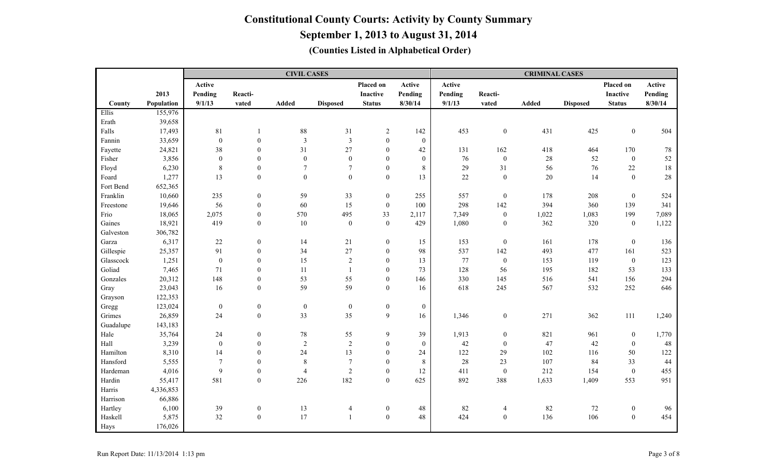|           |            |                  |                  | <b>CIVIL CASES</b> |                  |                  |                  |         |                  | <b>CRIMINAL CASES</b> |                 |                  |         |
|-----------|------------|------------------|------------------|--------------------|------------------|------------------|------------------|---------|------------------|-----------------------|-----------------|------------------|---------|
|           |            | Active           |                  |                    |                  | Placed on        | Active           | Active  |                  |                       |                 | Placed on        | Active  |
|           | 2013       | Pending          | Reacti-          |                    |                  | Inactive         | Pending          | Pending | Reacti-          |                       |                 | <b>Inactive</b>  | Pending |
| County    | Population | 9/1/13           | vated            | Added              | <b>Disposed</b>  | <b>Status</b>    | 8/30/14          | 9/1/13  | vated            | <b>Added</b>          | <b>Disposed</b> | <b>Status</b>    | 8/30/14 |
| Ellis     | 155,976    |                  |                  |                    |                  |                  |                  |         |                  |                       |                 |                  |         |
| Erath     | 39,658     |                  |                  |                    |                  |                  |                  |         |                  |                       |                 |                  |         |
| Falls     | 17,493     | 81               | $\mathbf{1}$     | $88\,$             | 31               | $\overline{2}$   | 142              | 453     | $\boldsymbol{0}$ | 431                   | 425             | $\mathbf{0}$     | 504     |
| Fannin    | 33,659     | $\boldsymbol{0}$ | $\boldsymbol{0}$ | $\mathfrak{Z}$     | $\mathfrak{Z}$   | $\boldsymbol{0}$ | $\boldsymbol{0}$ |         |                  |                       |                 |                  |         |
| Fayette   | 24,821     | $38\,$           | $\boldsymbol{0}$ | 31                 | $27\,$           | $\boldsymbol{0}$ | 42               | 131     | 162              | 418                   | 464             | 170              | $78\,$  |
| Fisher    | 3,856      | $\boldsymbol{0}$ | $\boldsymbol{0}$ | $\mathbf{0}$       | $\boldsymbol{0}$ | $\mathbf{0}$     | $\mathbf{0}$     | 76      | $\mathbf{0}$     | 28                    | 52              | $\mathbf{0}$     | 52      |
| Floyd     | 6,230      | $\,8\,$          | $\boldsymbol{0}$ | $\overline{7}$     | $\overline{7}$   | $\mathbf{0}$     | 8                | 29      | 31               | 56                    | 76              | 22               | 18      |
| Foard     | 1,277      | 13               | $\boldsymbol{0}$ | $\overline{0}$     | $\mathbf{0}$     | $\boldsymbol{0}$ | 13               | 22      | $\mathbf{0}$     | $20\,$                | 14              | $\theta$         | $28\,$  |
| Fort Bend | 652,365    |                  |                  |                    |                  |                  |                  |         |                  |                       |                 |                  |         |
| Franklin  | 10,660     | 235              | $\boldsymbol{0}$ | 59                 | 33               | $\mathbf{0}$     | 255              | 557     | $\mathbf{0}$     | 178                   | 208             | $\theta$         | 524     |
| Freestone | 19,646     | 56               | $\boldsymbol{0}$ | 60                 | 15               | $\mathbf{0}$     | 100              | 298     | 142              | 394                   | 360             | 139              | 341     |
| Frio      | 18,065     | 2,075            | $\boldsymbol{0}$ | 570                | 495              | 33               | 2,117            | 7,349   | $\boldsymbol{0}$ | 1,022                 | 1,083           | 199              | 7,089   |
| Gaines    | 18,921     | 419              | $\boldsymbol{0}$ | $10\,$             | $\boldsymbol{0}$ | $\boldsymbol{0}$ | 429              | 1,080   | $\boldsymbol{0}$ | 362                   | 320             | $\boldsymbol{0}$ | 1,122   |
| Galveston | 306,782    |                  |                  |                    |                  |                  |                  |         |                  |                       |                 |                  |         |
| Garza     | 6,317      | $22\,$           | $\boldsymbol{0}$ | 14                 | $21\,$           | $\boldsymbol{0}$ | 15               | 153     | $\boldsymbol{0}$ | 161                   | 178             | $\boldsymbol{0}$ | 136     |
| Gillespie | 25,357     | 91               | $\boldsymbol{0}$ | 34                 | 27               | $\boldsymbol{0}$ | 98               | 537     | 142              | 493                   | 477             | 161              | 523     |
| Glasscock | 1,251      | $\boldsymbol{0}$ | $\overline{0}$   | 15                 | $\overline{2}$   | $\theta$         | 13               | 77      | $\boldsymbol{0}$ | 153                   | 119             | $\boldsymbol{0}$ | 123     |
| Goliad    | 7,465      | 71               | $\boldsymbol{0}$ | 11                 | $\overline{1}$   | $\theta$         | 73               | 128     | 56               | 195                   | 182             | 53               | 133     |
| Gonzales  | 20,312     | 148              | $\boldsymbol{0}$ | 53                 | 55               | $\theta$         | 146              | 330     | 145              | 516                   | 541             | 156              | 294     |
| Gray      | 23,043     | 16               | $\boldsymbol{0}$ | 59                 | 59               | $\overline{0}$   | 16               | 618     | 245              | 567                   | 532             | 252              | 646     |
| Grayson   | 122,353    |                  |                  |                    |                  |                  |                  |         |                  |                       |                 |                  |         |
| Gregg     | 123,024    | $\boldsymbol{0}$ | $\boldsymbol{0}$ | $\mathbf{0}$       | $\mathbf{0}$     | $\boldsymbol{0}$ | $\boldsymbol{0}$ |         |                  |                       |                 |                  |         |
| Grimes    | 26,859     | 24               | $\boldsymbol{0}$ | 33                 | 35               | 9                | 16               | 1,346   | $\boldsymbol{0}$ | 271                   | 362             | 111              | 1,240   |
| Guadalupe | 143,183    |                  |                  |                    |                  |                  |                  |         |                  |                       |                 |                  |         |
| Hale      | 35,764     | $24\,$           | $\boldsymbol{0}$ | $78\,$             | 55               | 9                | 39               | 1,913   | $\boldsymbol{0}$ | 821                   | 961             | $\boldsymbol{0}$ | 1,770   |
| Hall      | 3,239      | $\boldsymbol{0}$ | $\boldsymbol{0}$ | $\overline{2}$     | $\sqrt{2}$       | $\mathbf{0}$     | $\mathbf{0}$     | 42      | $\mathbf{0}$     | 47                    | 42              | $\mathbf{0}$     | 48      |
| Hamilton  | 8,310      | 14               | $\boldsymbol{0}$ | 24                 | 13               | $\theta$         | 24               | 122     | 29               | 102                   | 116             | 50               | 122     |
| Hansford  | 5,555      | $\overline{7}$   | $\boldsymbol{0}$ | 8                  | $\overline{7}$   | $\mathbf{0}$     | 8                | 28      | 23               | 107                   | 84              | 33               | 44      |
| Hardeman  | 4,016      | 9                | $\mathbf{0}$     | $\overline{4}$     | $\overline{2}$   | $\theta$         | 12               | 411     | $\boldsymbol{0}$ | 212                   | 154             | $\theta$         | 455     |
| Hardin    | 55,417     | 581              | $\boldsymbol{0}$ | 226                | 182              | $\boldsymbol{0}$ | 625              | 892     | 388              | 1,633                 | 1,409           | 553              | 951     |
| Harris    | 4,336,853  |                  |                  |                    |                  |                  |                  |         |                  |                       |                 |                  |         |
| Harrison  | 66,886     |                  |                  |                    |                  |                  |                  |         |                  |                       |                 |                  |         |
| Hartley   | 6,100      | 39               | $\boldsymbol{0}$ | 13                 | $\overline{4}$   | $\boldsymbol{0}$ | 48               | 82      | $\overline{4}$   | 82                    | $72\,$          | $\mathbf{0}$     | 96      |
| Haskell   | 5,875      | 32               | $\boldsymbol{0}$ | 17                 | $\mathbf{1}$     | $\boldsymbol{0}$ | 48               | 424     | $\boldsymbol{0}$ | 136                   | 106             | $\boldsymbol{0}$ | 454     |
| Hays      | 176,026    |                  |                  |                    |                  |                  |                  |         |                  |                       |                 |                  |         |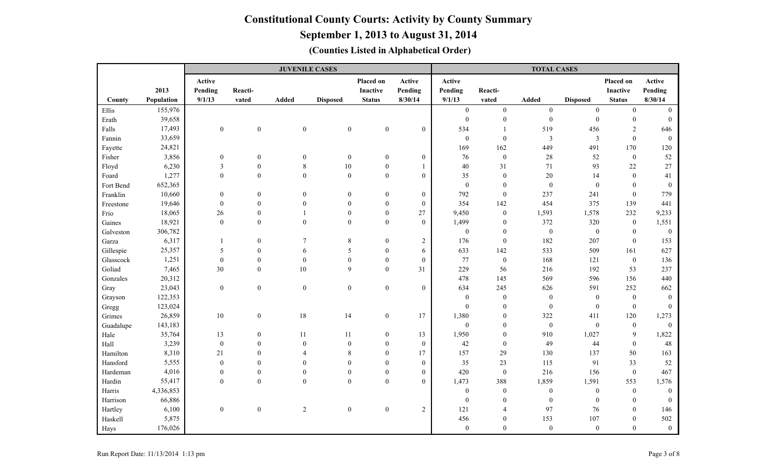**September 1, 2013 to August 31, 2014**

|           |            |                         |                  | <b>JUVENILE CASES</b> |                  |                  |                  |                  |                  | <b>TOTAL CASES</b> |                  |                  |                  |
|-----------|------------|-------------------------|------------------|-----------------------|------------------|------------------|------------------|------------------|------------------|--------------------|------------------|------------------|------------------|
|           |            | Active                  |                  |                       |                  | Placed on        | Active           | Active           |                  |                    |                  | Placed on        | Active           |
|           | 2013       | Pending                 | Reacti-          |                       |                  | <b>Inactive</b>  | Pending          | Pending          | Reacti-          |                    |                  | Inactive         | Pending          |
| County    | Population | 9/1/13                  | vated            | Added                 | <b>Disposed</b>  | <b>Status</b>    | 8/30/14          | 9/1/13           | vated            | <b>Added</b>       | <b>Disposed</b>  | <b>Status</b>    | 8/30/14          |
| Ellis     | 155,976    |                         |                  |                       |                  |                  |                  | $\boldsymbol{0}$ | $\overline{0}$   | $\overline{0}$     | $\overline{0}$   | $\theta$         | $\Omega$         |
| Erath     | 39,658     |                         |                  |                       |                  |                  |                  | $\boldsymbol{0}$ | $\boldsymbol{0}$ | $\boldsymbol{0}$   | $\boldsymbol{0}$ | $\boldsymbol{0}$ | $\theta$         |
| Falls     | 17,493     | $\boldsymbol{0}$        | $\boldsymbol{0}$ | $\boldsymbol{0}$      | $\boldsymbol{0}$ | $\boldsymbol{0}$ | $\overline{0}$   | 534              | $\overline{1}$   | 519                | 456              | $\overline{2}$   | 646              |
| Fannin    | 33,659     |                         |                  |                       |                  |                  |                  | $\mathbf{0}$     | $\mathbf{0}$     | $\mathfrak{Z}$     | $\mathfrak{Z}$   | $\theta$         | $\theta$         |
| Fayette   | 24,821     |                         |                  |                       |                  |                  |                  | 169              | 162              | 449                | 491              | 170              | 120              |
| Fisher    | 3,856      | $\mathbf{0}$            | $\boldsymbol{0}$ | $\boldsymbol{0}$      | $\boldsymbol{0}$ | $\boldsymbol{0}$ | $\overline{0}$   | 76               | $\boldsymbol{0}$ | $28\,$             | 52               | $\boldsymbol{0}$ | 52               |
| Floyd     | 6,230      | $\overline{\mathbf{3}}$ | $\theta$         | 8                     | $10\,$           | $\boldsymbol{0}$ |                  | 40               | 31               | 71                 | 93               | $22\,$           | 27               |
| Foard     | 1,277      | $\boldsymbol{0}$        | $\mathbf{0}$     | $\boldsymbol{0}$      | $\boldsymbol{0}$ | $\boldsymbol{0}$ | $\overline{0}$   | 35               | $\boldsymbol{0}$ | 20                 | 14               | $\mathbf{0}$     | 41               |
| Fort Bend | 652,365    |                         |                  |                       |                  |                  |                  | $\boldsymbol{0}$ | $\mathbf{0}$     | $\boldsymbol{0}$   | $\boldsymbol{0}$ | $\mathbf{0}$     | $\mathbf{0}$     |
| Franklin  | 10,660     | $\boldsymbol{0}$        | $\boldsymbol{0}$ | $\theta$              | $\boldsymbol{0}$ | $\boldsymbol{0}$ | $\boldsymbol{0}$ | 792              | $\boldsymbol{0}$ | 237                | 241              | $\theta$         | 779              |
| Freestone | 19,646     | $\boldsymbol{0}$        | $\theta$         | $\mathbf{0}$          | $\mathbf{0}$     | $\boldsymbol{0}$ | $\mathbf{0}$     | 354              | 142              | 454                | 375              | 139              | 441              |
| Frio      | 18,065     | 26                      | $\theta$         | $\mathbf{1}$          | $\mathbf{0}$     | $\theta$         | 27               | 9,450            | $\boldsymbol{0}$ | 1,593              | 1,578            | 232              | 9,233            |
| Gaines    | 18,921     | $\boldsymbol{0}$        | $\boldsymbol{0}$ | $\mathbf{0}$          | $\boldsymbol{0}$ | $\boldsymbol{0}$ | $\mathbf{0}$     | 1,499            | $\boldsymbol{0}$ | 372                | 320              | $\boldsymbol{0}$ | 1,551            |
| Galveston | 306,782    |                         |                  |                       |                  |                  |                  | $\mathbf{0}$     | $\boldsymbol{0}$ | $\boldsymbol{0}$   | $\boldsymbol{0}$ | $\mathbf{0}$     | $\boldsymbol{0}$ |
| Garza     | 6,317      |                         | $\boldsymbol{0}$ | 7                     | $\,$ 8 $\,$      | $\mathbf{0}$     | $\boldsymbol{2}$ | 176              | $\boldsymbol{0}$ | 182                | 207              | $\mathbf{0}$     | 153              |
| Gillespie | 25,357     | 5                       | $\boldsymbol{0}$ | 6                     | 5                | $\mathbf{0}$     | 6                | 633              | 142              | 533                | 509              | 161              | 627              |
| Glasscock | 1,251      | $\boldsymbol{0}$        | $\mathbf{0}$     | $\mathbf{0}$          | $\boldsymbol{0}$ | $\mathbf{0}$     | $\mathbf{0}$     | 77               | $\boldsymbol{0}$ | 168                | 121              | $\mathbf{0}$     | 136              |
| Goliad    | 7,465      | 30                      | $\mathbf{0}$     | 10                    | 9                | $\theta$         | 31               | 229              | 56               | 216                | 192              | 53               | 237              |
| Gonzales  | 20,312     |                         |                  |                       |                  |                  |                  | 478              | 145              | 569                | 596              | 156              | 440              |
| Gray      | 23,043     | $\boldsymbol{0}$        | $\boldsymbol{0}$ | $\overline{0}$        | $\boldsymbol{0}$ | $\mathbf{0}$     | $\overline{0}$   | 634              | 245              | 626                | 591              | 252              | 662              |
| Grayson   | 122,353    |                         |                  |                       |                  |                  |                  | $\mathbf{0}$     | $\boldsymbol{0}$ | $\boldsymbol{0}$   | $\boldsymbol{0}$ | $\overline{0}$   | $\theta$         |
| Gregg     | 123,024    |                         |                  |                       |                  |                  |                  | $\mathbf{0}$     | $\boldsymbol{0}$ | $\boldsymbol{0}$   | $\boldsymbol{0}$ | $\boldsymbol{0}$ | $\overline{0}$   |
| Grimes    | 26,859     | $10\,$                  | $\boldsymbol{0}$ | 18                    | 14               | $\boldsymbol{0}$ | 17               | 1,380            | $\boldsymbol{0}$ | 322                | 411              | 120              | 1,273            |
| Guadalupe | 143,183    |                         |                  |                       |                  |                  |                  | $\boldsymbol{0}$ | $\boldsymbol{0}$ | $\boldsymbol{0}$   | $\boldsymbol{0}$ | $\boldsymbol{0}$ | $\mathbf{0}$     |
| Hale      | 35,764     | 13                      | $\boldsymbol{0}$ | 11                    | 11               | $\boldsymbol{0}$ | 13               | 1,950            | $\boldsymbol{0}$ | 910                | 1,027            | 9                | 1,822            |
| Hall      | 3,239      | $\boldsymbol{0}$        | $\mathbf{0}$     | $\mathbf{0}$          | $\mathbf{0}$     | $\theta$         | $\boldsymbol{0}$ | 42               | $\boldsymbol{0}$ | 49                 | 44               | $\overline{0}$   | 48               |
| Hamilton  | 8,310      | 21                      | $\mathbf{0}$     | $\Delta$              | 8                | $\mathbf{0}$     | 17               | 157              | 29               | 130                | 137              | 50               | 163              |
| Hansford  | 5,555      | $\boldsymbol{0}$        | $\theta$         | $\theta$              | $\mathbf{0}$     | $\theta$         | $\overline{0}$   | 35               | 23               | 115                | 91               | 33               | 52               |
| Hardeman  | 4,016      | $\mathbf{0}$            | $\mathbf{0}$     | $\theta$              | $\mathbf{0}$     | $\mathbf{0}$     | $\overline{0}$   | 420              | $\boldsymbol{0}$ | 216                | 156              | $\mathbf{0}$     | 467              |
| Hardin    | 55,417     | $\boldsymbol{0}$        | $\boldsymbol{0}$ | $\mathbf{0}$          | $\boldsymbol{0}$ | $\boldsymbol{0}$ | $\overline{0}$   | 1,473            | 388              | 1,859              | 1,591            | 553              | 1,576            |
| Harris    | 4,336,853  |                         |                  |                       |                  |                  |                  | $\mathbf{0}$     | $\boldsymbol{0}$ | $\boldsymbol{0}$   | $\mathbf{0}$     | $\boldsymbol{0}$ | $\mathbf{0}$     |
| Harrison  | 66,886     |                         |                  |                       |                  |                  |                  | $\mathbf{0}$     | $\mathbf{0}$     | $\boldsymbol{0}$   | $\boldsymbol{0}$ | $\theta$         | $\theta$         |
| Hartley   | 6,100      | $\boldsymbol{0}$        | $\boldsymbol{0}$ | $\sqrt{2}$            | $\boldsymbol{0}$ | $\boldsymbol{0}$ | $\boldsymbol{2}$ | 121              | $\overline{4}$   | 97                 | 76               | $\boldsymbol{0}$ | 146              |
| Haskell   | 5,875      |                         |                  |                       |                  |                  |                  | 456              | $\mathbf{0}$     | 153                | 107              | $\mathbf{0}$     | 502              |
| Hays      | 176,026    |                         |                  |                       |                  |                  |                  | $\boldsymbol{0}$ | $\mathbf{0}$     | $\mathbf{0}$       | $\mathbf{0}$     | $\theta$         | $\boldsymbol{0}$ |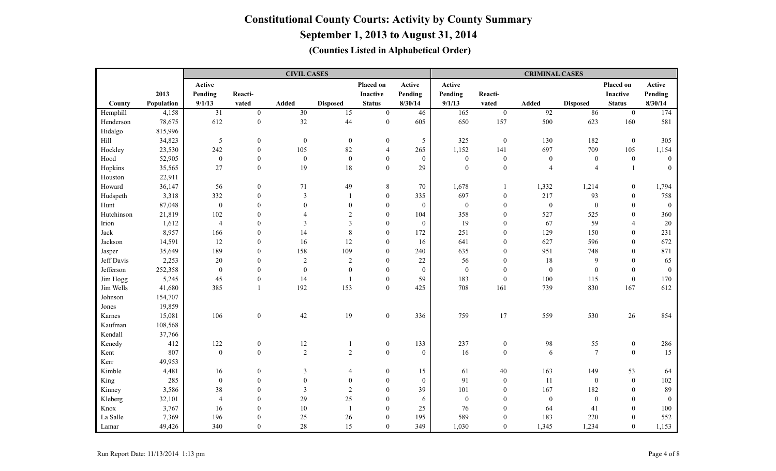|            |            |                  |                  | <b>CIVIL CASES</b> |                  |                  |                  |                  |                  | <b>CRIMINAL CASES</b> |                  |                  |              |
|------------|------------|------------------|------------------|--------------------|------------------|------------------|------------------|------------------|------------------|-----------------------|------------------|------------------|--------------|
|            |            | Active           |                  |                    |                  | Placed on        | Active           | Active           |                  |                       |                  | Placed on        | Active       |
|            | 2013       | Pending          | Reacti-          |                    |                  | Inactive         | Pending          | Pending          | Reacti-          |                       |                  | <b>Inactive</b>  | Pending      |
| County     | Population | 9/1/13           | vated            | Added              | <b>Disposed</b>  | <b>Status</b>    | 8/30/14          | 9/1/13           | vated            | <b>Added</b>          | <b>Disposed</b>  | <b>Status</b>    | 8/30/14      |
| Hemphill   | 4,158      | $\overline{31}$  | $\overline{0}$   | $\overline{30}$    | $\overline{15}$  | $\overline{0}$   | 46               | 165              | $\overline{0}$   | $\overline{92}$       | 86               | $\overline{0}$   | 174          |
| Henderson  | 78,675     | 612              | $\boldsymbol{0}$ | 32                 | 44               | $\boldsymbol{0}$ | 605              | 650              | 157              | 500                   | 623              | 160              | 581          |
| Hidalgo    | 815,996    |                  |                  |                    |                  |                  |                  |                  |                  |                       |                  |                  |              |
| Hill       | 34,823     | 5                | $\boldsymbol{0}$ | $\mathbf{0}$       | $\boldsymbol{0}$ | $\boldsymbol{0}$ | 5                | 325              | $\boldsymbol{0}$ | 130                   | 182              | $\mathbf{0}$     | 305          |
| Hockley    | 23,530     | 242              | $\boldsymbol{0}$ | 105                | 82               | $\overline{4}$   | 265              | 1,152            | 141              | 697                   | 709              | 105              | 1,154        |
| Hood       | 52,905     | $\boldsymbol{0}$ | $\boldsymbol{0}$ | $\boldsymbol{0}$   | $\boldsymbol{0}$ | $\overline{0}$   | $\mathbf{0}$     | $\boldsymbol{0}$ | $\boldsymbol{0}$ | $\boldsymbol{0}$      | $\mathbf{0}$     | $\mathbf{0}$     | $\mathbf{0}$ |
| Hopkins    | 35,565     | 27               | $\boldsymbol{0}$ | 19                 | 18               | $\boldsymbol{0}$ | 29               | $\mathbf{0}$     | $\mathbf{0}$     | $\overline{4}$        | $\overline{4}$   | $\mathbf{1}$     | $\Omega$     |
| Houston    | 22,911     |                  |                  |                    |                  |                  |                  |                  |                  |                       |                  |                  |              |
| Howard     | 36,147     | 56               | $\boldsymbol{0}$ | 71                 | 49               | $\,8\,$          | 70               | 1,678            | $\mathbf{1}$     | 1,332                 | 1,214            | $\mathbf{0}$     | 1,794        |
| Hudspeth   | 3,318      | 332              | $\boldsymbol{0}$ | $\mathfrak{Z}$     | $\overline{1}$   | $\Omega$         | 335              | 697              | $\mathbf{0}$     | 217                   | 93               | $\mathbf{0}$     | 758          |
| Hunt       | 87,048     | $\boldsymbol{0}$ | $\boldsymbol{0}$ | $\overline{0}$     | $\mathbf{0}$     | $\overline{0}$   | $\boldsymbol{0}$ | $\boldsymbol{0}$ | $\overline{0}$   | $\boldsymbol{0}$      | $\boldsymbol{0}$ | $\Omega$         | $\bf{0}$     |
| Hutchinson | 21,819     | 102              | $\boldsymbol{0}$ | $\overline{4}$     | $\overline{2}$   | $\mathbf{0}$     | 104              | 358              | $\boldsymbol{0}$ | 527                   | 525              | $\mathbf{0}$     | 360          |
| Irion      | 1,612      | $\overline{4}$   | $\boldsymbol{0}$ | 3                  | $\mathfrak{Z}$   | $\boldsymbol{0}$ | $\boldsymbol{0}$ | 19               | $\mathbf{0}$     | 67                    | 59               | $\overline{A}$   | 20           |
| Jack       | 8,957      | 166              | $\boldsymbol{0}$ | 14                 | $\,8\,$          | $\boldsymbol{0}$ | 172              | 251              | $\mathbf{0}$     | 129                   | 150              | $\theta$         | 231          |
| Jackson    | 14,591     | 12               | $\boldsymbol{0}$ | 16                 | 12               | $\mathbf{0}$     | 16               | 641              | $\mathbf{0}$     | 627                   | 596              | $\Omega$         | 672          |
| Jasper     | 35,649     | 189              | $\mathbf{0}$     | 158                | 109              | $\mathbf{0}$     | 240              | 635              | $\boldsymbol{0}$ | 951                   | 748              | $\mathbf{0}$     | 871          |
| Jeff Davis | 2,253      | 20               | $\theta$         | $\overline{2}$     | $\sqrt{2}$       | $\Omega$         | 22               | 56               | $\boldsymbol{0}$ | 18                    | $\mathfrak{g}$   | $\theta$         | 65           |
| Jefferson  | 252,358    | $\boldsymbol{0}$ | $\boldsymbol{0}$ | $\mathbf{0}$       | $\mathbf{0}$     | $\Omega$         | $\boldsymbol{0}$ | $\boldsymbol{0}$ | $\mathbf{0}$     | $\mathbf{0}$          | $\mathbf{0}$     | $\theta$         | $\theta$     |
| Jim Hogg   | 5,245      | 45               | $\boldsymbol{0}$ | 14                 | $\overline{1}$   | $\Omega$         | 59               | 183              | $\boldsymbol{0}$ | 100                   | 115              | $\mathbf{0}$     | 170          |
| Jim Wells  | 41,680     | 385              | $\mathbf{1}$     | 192                | 153              | $\overline{0}$   | 425              | 708              | 161              | 739                   | 830              | 167              | 612          |
| Johnson    | 154,707    |                  |                  |                    |                  |                  |                  |                  |                  |                       |                  |                  |              |
| Jones      | 19,859     |                  |                  |                    |                  |                  |                  |                  |                  |                       |                  |                  |              |
| Karnes     | 15,081     | 106              | $\boldsymbol{0}$ | $42\,$             | 19               | $\boldsymbol{0}$ | 336              | 759              | 17               | 559                   | 530              | 26               | 854          |
| Kaufman    | 108,568    |                  |                  |                    |                  |                  |                  |                  |                  |                       |                  |                  |              |
| Kendall    | 37,766     |                  |                  |                    |                  |                  |                  |                  |                  |                       |                  |                  |              |
| Kenedy     | 412        | 122              | $\boldsymbol{0}$ | $12\,$             | $\overline{1}$   | $\boldsymbol{0}$ | 133              | 237              | $\boldsymbol{0}$ | 98                    | 55               | $\boldsymbol{0}$ | 286          |
| Kent       | 807        | $\boldsymbol{0}$ | $\boldsymbol{0}$ | $\overline{2}$     | $\overline{2}$   | $\mathbf{0}$     | $\boldsymbol{0}$ | 16               | $\boldsymbol{0}$ | 6                     | $7\phantom{.0}$  | $\Omega$         | 15           |
| Kerr       | 49,953     |                  |                  |                    |                  |                  |                  |                  |                  |                       |                  |                  |              |
| Kimble     | 4,481      | 16               | $\boldsymbol{0}$ | 3                  | $\overline{4}$   | $\overline{0}$   | 15               | 61               | 40               | 163                   | 149              | 53               | 64           |
| King       | 285        | $\boldsymbol{0}$ | $\boldsymbol{0}$ | $\overline{0}$     | $\mathbf{0}$     | $\overline{0}$   | $\boldsymbol{0}$ | 91               | $\mathbf{0}$     | 11                    | $\boldsymbol{0}$ | $\mathbf{0}$     | 102          |
| Kinney     | 3,586      | $38\,$           | $\boldsymbol{0}$ | 3                  | $\sqrt{2}$       | $\mathbf{0}$     | 39               | 101              | $\mathbf{0}$     | 167                   | 182              | $\mathbf{0}$     | 89           |
| Kleberg    | 32,101     | $\overline{4}$   | $\overline{0}$   | 29                 | $25\,$           | $\boldsymbol{0}$ | 6                | $\boldsymbol{0}$ | $\mathbf{0}$     | $\boldsymbol{0}$      | $\boldsymbol{0}$ | $\mathbf{0}$     | $\bf{0}$     |
| Knox       | 3,767      | 16               | $\boldsymbol{0}$ | $10\,$             | $\overline{1}$   | $\theta$         | 25               | 76               | $\mathbf{0}$     | 64                    | 41               | $\theta$         | 100          |
| La Salle   | 7,369      | 196              | $\mathbf{0}$     | 25                 | $26\,$           | $\mathbf{0}$     | 195              | 589              | $\mathbf{0}$     | 183                   | 220              | $\mathbf{0}$     | 552          |
| Lamar      | 49,426     | 340              | $\mathbf{0}$     | 28                 | 15               | $\overline{0}$   | 349              | 1,030            | $\boldsymbol{0}$ | 1,345                 | 1,234            | $\overline{0}$   | 1,153        |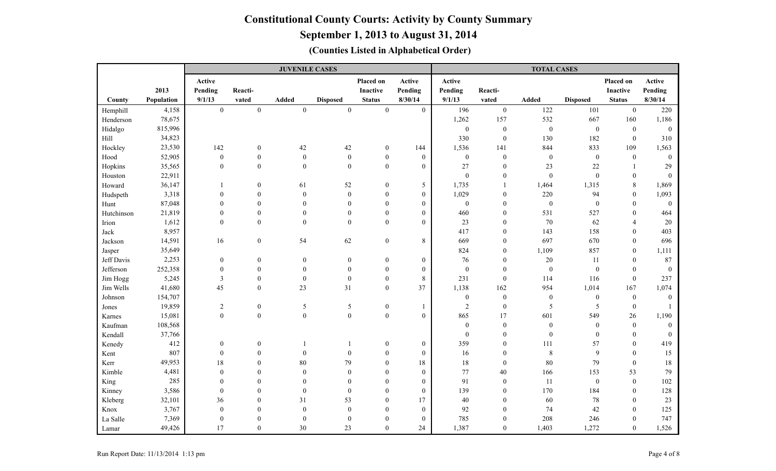**September 1, 2013 to August 31, 2014**

|            |            |                  |                  | <b>JUVENILE CASES</b> |                  |                  |                  |                  |                  | <b>TOTAL CASES</b> |                  |                  |                  |
|------------|------------|------------------|------------------|-----------------------|------------------|------------------|------------------|------------------|------------------|--------------------|------------------|------------------|------------------|
|            |            | Active           |                  |                       |                  | Placed on        | Active           | Active           |                  |                    |                  | Placed on        | Active           |
|            | 2013       | Pending          | Reacti-          |                       |                  | <b>Inactive</b>  | Pending          | Pending          | Reacti-          |                    |                  | Inactive         | Pending          |
| County     | Population | 9/1/13           | vated            | Added                 | <b>Disposed</b>  | <b>Status</b>    | 8/30/14          | 9/1/13           | vated            | Added              | <b>Disposed</b>  | <b>Status</b>    | 8/30/14          |
| Hemphill   | 4,158      | $\boldsymbol{0}$ | $\boldsymbol{0}$ | $\mathbf{0}$          | $\boldsymbol{0}$ | $\mathbf{0}$     | $\overline{0}$   | 196              | $\boldsymbol{0}$ | 122                | 101              | $\mathbf{0}$     | 220              |
| Henderson  | 78,675     |                  |                  |                       |                  |                  |                  | 1,262            | 157              | 532                | 667              | 160              | 1,186            |
| Hidalgo    | 815,996    |                  |                  |                       |                  |                  |                  | $\mathbf{0}$     | $\boldsymbol{0}$ | $\boldsymbol{0}$   | $\boldsymbol{0}$ | $\mathbf{0}$     | $\mathbf{0}$     |
| Hill       | 34,823     |                  |                  |                       |                  |                  |                  | 330              | $\boldsymbol{0}$ | 130                | 182              | $\theta$         | 310              |
| Hockley    | 23,530     | 142              | $\boldsymbol{0}$ | 42                    | $42\,$           | $\boldsymbol{0}$ | 144              | 1,536            | 141              | 844                | 833              | 109              | 1,563            |
| Hood       | 52,905     | $\boldsymbol{0}$ | $\boldsymbol{0}$ | $\mathbf{0}$          | $\boldsymbol{0}$ | $\mathbf{0}$     | $\boldsymbol{0}$ | $\boldsymbol{0}$ | $\boldsymbol{0}$ | $\boldsymbol{0}$   | $\boldsymbol{0}$ | $\mathbf{0}$     | $\overline{0}$   |
| Hopkins    | 35,565     | $\boldsymbol{0}$ | $\mathbf{0}$     | $\boldsymbol{0}$      | $\overline{0}$   | $\boldsymbol{0}$ | $\overline{0}$   | 27               | $\boldsymbol{0}$ | 23                 | $22\,$           | 1                | 29               |
| Houston    | 22,911     |                  |                  |                       |                  |                  |                  | $\boldsymbol{0}$ | $\boldsymbol{0}$ | $\boldsymbol{0}$   | $\boldsymbol{0}$ | $\boldsymbol{0}$ | $\mathbf{0}$     |
| Howard     | 36,147     |                  | $\boldsymbol{0}$ | 61                    | 52               | $\mathbf{0}$     | 5                | 1,735            | 1                | 1,464              | 1,315            | $8\,$            | 1,869            |
| Hudspeth   | 3,318      | $\theta$         | $\mathbf{0}$     | $\mathbf{0}$          | $\boldsymbol{0}$ | $\theta$         | $\boldsymbol{0}$ | 1,029            | $\mathbf{0}$     | 220                | 94               | $\mathbf{0}$     | 1,093            |
| Hunt       | 87,048     | $\boldsymbol{0}$ | $\boldsymbol{0}$ | $\mathbf{0}$          | $\mathbf{0}$     | $\mathbf{0}$     | $\boldsymbol{0}$ | $\boldsymbol{0}$ | $\mathbf{0}$     | $\boldsymbol{0}$   | $\boldsymbol{0}$ | $\mathbf{0}$     | $\boldsymbol{0}$ |
| Hutchinson | 21,819     | $\theta$         | $\mathbf{0}$     | $\mathbf{0}$          | $\mathbf{0}$     | $\theta$         | $\boldsymbol{0}$ | 460              | $\mathbf{0}$     | 531                | 527              | $\theta$         | 464              |
| Irion      | 1,612      | $\mathbf{0}$     | $\overline{0}$   | $\theta$              | $\mathbf{0}$     | $\mathbf{0}$     | $\overline{0}$   | 23               | $\boldsymbol{0}$ | 70                 | 62               | $\overline{4}$   | $20\,$           |
| Jack       | 8,957      |                  |                  |                       |                  |                  |                  | 417              | $\boldsymbol{0}$ | 143                | 158              | $\boldsymbol{0}$ | 403              |
| Jackson    | 14,591     | 16               | $\boldsymbol{0}$ | 54                    | 62               | $\boldsymbol{0}$ | 8                | 669              | $\boldsymbol{0}$ | 697                | 670              | $\mathbf{0}$     | 696              |
| Jasper     | 35,649     |                  |                  |                       |                  |                  |                  | 824              | $\boldsymbol{0}$ | 1,109              | 857              | $\mathbf{0}$     | 1,111            |
| Jeff Davis | 2,253      | $\boldsymbol{0}$ | 0                | $\boldsymbol{0}$      | $\boldsymbol{0}$ | $\boldsymbol{0}$ | $\boldsymbol{0}$ | 76               | $\boldsymbol{0}$ | $20\,$             | 11               | $\boldsymbol{0}$ | 87               |
| Jefferson  | 252,358    | $\boldsymbol{0}$ | $\boldsymbol{0}$ | $\mathbf{0}$          | $\boldsymbol{0}$ | $\boldsymbol{0}$ | $\boldsymbol{0}$ | $\boldsymbol{0}$ | $\mathbf{0}$     | $\boldsymbol{0}$   | $\mathbf{0}$     | $\mathbf{0}$     | $\overline{0}$   |
| Jim Hogg   | 5,245      | $\mathfrak{Z}$   | $\boldsymbol{0}$ | $\mathbf{0}$          | $\boldsymbol{0}$ | $\theta$         | 8                | 231              | $\boldsymbol{0}$ | 114                | 116              | $\mathbf{0}$     | 237              |
| Jim Wells  | 41,680     | 45               | $\boldsymbol{0}$ | 23                    | 31               | $\boldsymbol{0}$ | 37               | 1,138            | 162              | 954                | 1,014            | 167              | 1,074            |
| Johnson    | 154,707    |                  |                  |                       |                  |                  |                  | $\mathbf{0}$     | $\boldsymbol{0}$ | $\boldsymbol{0}$   | $\mathbf{0}$     | $\mathbf{0}$     | $\overline{0}$   |
| Jones      | 19,859     | $\sqrt{2}$       | $\boldsymbol{0}$ | 5                     | $\sqrt{5}$       | $\boldsymbol{0}$ | 1                | $\overline{2}$   | $\boldsymbol{0}$ | 5                  | 5                | $\overline{0}$   |                  |
| Karnes     | 15,081     | $\boldsymbol{0}$ | $\boldsymbol{0}$ | $\boldsymbol{0}$      | $\boldsymbol{0}$ | $\boldsymbol{0}$ | $\overline{0}$   | 865              | 17               | 601                | 549              | $26\,$           | 1,190            |
| Kaufman    | 108,568    |                  |                  |                       |                  |                  |                  | $\boldsymbol{0}$ | $\boldsymbol{0}$ | $\boldsymbol{0}$   | $\boldsymbol{0}$ | $\mathbf{0}$     | $\mathbf{0}$     |
| Kendall    | 37,766     |                  |                  |                       |                  |                  |                  | $\mathbf{0}$     | $\mathbf{0}$     | $\boldsymbol{0}$   | $\mathbf{0}$     | $\theta$         | $\overline{0}$   |
| Kenedy     | 412        | $\boldsymbol{0}$ | $\boldsymbol{0}$ |                       | $\mathbf{1}$     | $\boldsymbol{0}$ | $\boldsymbol{0}$ | 359              | $\theta$         | 111                | 57               | $\boldsymbol{0}$ | 419              |
| Kent       | 807        | $\boldsymbol{0}$ | $\boldsymbol{0}$ | $\mathbf{0}$          | $\boldsymbol{0}$ | $\mathbf{0}$     | $\boldsymbol{0}$ | 16               | $\boldsymbol{0}$ | $\,8\,$            | $\mathfrak{g}$   | $\Omega$         | 15               |
| Kerr       | 49,953     | 18               | $\mathbf{0}$     | $80\,$                | 79               | $\theta$         | 18               | 18               | $\mathbf{0}$     | 80                 | 79               | $\mathbf{0}$     | $18\,$           |
| Kimble     | 4,481      | $\boldsymbol{0}$ | $\mathbf{0}$     | $\mathbf{0}$          | $\boldsymbol{0}$ | $\Omega$         | $\boldsymbol{0}$ | 77               | 40               | 166                | 153              | 53               | 79               |
| King       | 285        | $\mathbf{0}$     | $\boldsymbol{0}$ | $\mathbf{0}$          | $\mathbf{0}$     | $\mathbf{0}$     | $\overline{0}$   | 91               | $\boldsymbol{0}$ | 11                 | $\boldsymbol{0}$ | $\boldsymbol{0}$ | 102              |
| Kinney     | 3,586      | $\boldsymbol{0}$ | $\overline{0}$   | $\mathbf{0}$          | $\boldsymbol{0}$ | $\mathbf{0}$     | $\overline{0}$   | 139              | $\boldsymbol{0}$ | 170                | 184              | $\theta$         | 128              |
| Kleberg    | 32,101     | 36               | $\overline{0}$   | 31                    | 53               | $\boldsymbol{0}$ | 17               | 40               | $\boldsymbol{0}$ | 60                 | $78\,$           | $\boldsymbol{0}$ | 23               |
| Knox       | 3,767      | $\boldsymbol{0}$ | $\theta$         | $\boldsymbol{0}$      | $\boldsymbol{0}$ | $\mathbf{0}$     | $\boldsymbol{0}$ | 92               | $\mathbf{0}$     | 74                 | 42               | $\theta$         | 125              |
| La Salle   | 7,369      | $\boldsymbol{0}$ | $\theta$         | $\theta$              | $\boldsymbol{0}$ | $\mathbf{0}$     | $\overline{0}$   | 785              | $\theta$         | 208                | 246              | $\mathbf{0}$     | 747              |
| Lamar      | 49,426     | 17               | $\boldsymbol{0}$ | $30\,$                | 23               | $\theta$         | 24               | 1,387            | $\boldsymbol{0}$ | 1,403              | 1,272            | $\boldsymbol{0}$ | 1,526            |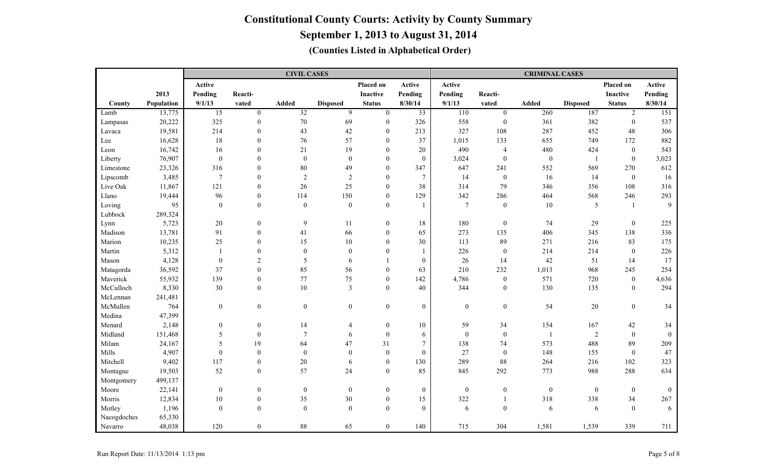|             |            |                  |                  | <b>CIVIL CASES</b> |                  |                  |                  |                  |                  | <b>CRIMINAL CASES</b> |                  |                  |                |
|-------------|------------|------------------|------------------|--------------------|------------------|------------------|------------------|------------------|------------------|-----------------------|------------------|------------------|----------------|
|             |            | Active           |                  |                    |                  | Placed on        | Active           | Active           |                  |                       |                  | Placed on        | Active         |
|             | 2013       | Pending          | Reacti-          |                    |                  | Inactive         | Pending          | Pending          | Reacti-          |                       |                  | <b>Inactive</b>  | Pending        |
| County      | Population | 9/1/13           | vated            | Added              | <b>Disposed</b>  | <b>Status</b>    | 8/30/14          | 9/1/13           | vated            | <b>Added</b>          | <b>Disposed</b>  | <b>Status</b>    | 8/30/14        |
| Lamb        | 13,775     | $\overline{15}$  | $\mathbf{0}$     | $\overline{32}$    | 9                | $\mathbf{0}$     | $\overline{33}$  | $\overline{110}$ | $\overline{0}$   | 260                   | 187              | $\overline{2}$   | 151            |
| Lampasas    | 20,222     | 325              | $\mathbf{0}$     | $70\,$             | 69               | $\mathbf{0}$     | 326              | 558              | $\boldsymbol{0}$ | 361                   | 382              | $\mathbf{0}$     | 537            |
| Lavaca      | 19,581     | 214              | $\mathbf{0}$     | 43                 | $42\,$           | $\mathbf{0}$     | 213              | 327              | 108              | 287                   | 452              | 48               | 306            |
| Lee         | 16,628     | $18\,$           | $\mathbf{0}$     | 76                 | 57               | $\theta$         | 37               | 1,015            | 133              | 655                   | 749              | 172              | 882            |
| Leon        | 16,742     | 16               | $\mathbf{0}$     | 21                 | 19               | $\theta$         | 20               | 490              | $\overline{4}$   | 480                   | 424              | $\mathbf{0}$     | 543            |
| Liberty     | 76,907     | $\boldsymbol{0}$ | $\mathbf{0}$     | $\boldsymbol{0}$   | $\boldsymbol{0}$ | $\mathbf{0}$     | $\boldsymbol{0}$ | 3,024            | $\boldsymbol{0}$ | $\boldsymbol{0}$      | $\mathbf{1}$     | $\boldsymbol{0}$ | 3,023          |
| Limestone   | 23,326     | 316              | $\mathbf{0}$     | 80                 | 49               | $\mathbf{0}$     | 347              | 647              | 241              | 552                   | 569              | 270              | 612            |
| Lipscomb    | 3,485      | $\overline{7}$   | $\Omega$         | $\overline{2}$     | 2                | $\mathbf{0}$     | $\overline{7}$   | 14               | $\boldsymbol{0}$ | 16                    | 14               | $\boldsymbol{0}$ | 16             |
| Live Oak    | 11,867     | 121              | $\theta$         | 26                 | 25               | $\Omega$         | 38               | 314              | 79               | 346                   | 356              | 108              | 316            |
| Llano       | 19,444     | 96               | $\theta$         | 114                | 150              | $\Omega$         | 129              | 342              | 286              | 464                   | 568              | 246              | 293            |
| Loving      | 95         | $\boldsymbol{0}$ | $\mathbf{0}$     | $\mathbf{0}$       | $\overline{0}$   | $\Omega$         | $\overline{1}$   | $\overline{7}$   | $\boldsymbol{0}$ | 10                    | 5                | -1               | 9              |
| Lubbock     | 289,324    |                  |                  |                    |                  |                  |                  |                  |                  |                       |                  |                  |                |
| Lynn        | 5,723      | $20\,$           | $\boldsymbol{0}$ | 9                  | $11\,$           | $\boldsymbol{0}$ | $18\,$           | 180              | $\boldsymbol{0}$ | 74                    | 29               | $\boldsymbol{0}$ | 225            |
| Madison     | 13,781     | 91               | $\boldsymbol{0}$ | 41                 | 66               | $\boldsymbol{0}$ | 65               | 273              | 135              | 406                   | 345              | 138              | 336            |
| Marion      | 10,235     | $25\,$           | $\mathbf{0}$     | 15                 | 10               | $\mathbf{0}$     | 30               | 113              | 89               | 271                   | 216              | 83               | 175            |
| Martin      | 5,312      | $\mathbf{1}$     | $\mathbf{0}$     | $\boldsymbol{0}$   | $\mathbf{0}$     | $\mathbf{0}$     | $\overline{1}$   | 226              | $\mathbf{0}$     | 214                   | 214              | $\mathbf{0}$     | 226            |
| Mason       | 4,128      | $\boldsymbol{0}$ | $\mathfrak{2}$   | 5                  | 6                |                  | $\boldsymbol{0}$ | 26               | 14               | 42                    | 51               | 14               | 17             |
| Matagorda   | 36,592     | 37               | $\theta$         | 85                 | 56               | $\Omega$         | 63               | 210              | 232              | 1,013                 | 968              | 245              | 254            |
| Maverick    | 55,932     | 139              | $\theta$         | 77                 | 75               | $\Omega$         | 142              | 4,786            | $\boldsymbol{0}$ | 571                   | 720              | $\mathbf{0}$     | 4,636          |
| McCulloch   | 8,330      | $30\,$           | $\theta$         | 10                 | 3                | $\Omega$         | 40               | 344              | $\boldsymbol{0}$ | 130                   | 135              | $\theta$         | 294            |
| McLennan    | 241,481    |                  |                  |                    |                  |                  |                  |                  |                  |                       |                  |                  |                |
| McMullen    | 764        | $\boldsymbol{0}$ | $\boldsymbol{0}$ | $\overline{0}$     | $\mathbf{0}$     | $\boldsymbol{0}$ | $\boldsymbol{0}$ | $\boldsymbol{0}$ | $\boldsymbol{0}$ | 54                    | $20\,$           | $\overline{0}$   | 34             |
| Medina      | 47,399     |                  |                  |                    |                  |                  |                  |                  |                  |                       |                  |                  |                |
| Menard      | 2,148      | $\boldsymbol{0}$ | $\mathbf{0}$     | 14                 | 4                | $\mathbf{0}$     | 10               | 59               | 34               | 154                   | 167              | 42               | 34             |
| Midland     | 151,468    | 5                | $\mathbf{0}$     | $\overline{7}$     | 6                | $\overline{0}$   | 6                | $\overline{0}$   | $\boldsymbol{0}$ | $\mathbf{1}$          | $\sqrt{2}$       | $\mathbf{0}$     | $\overline{0}$ |
| Milam       | 24,167     | 5                | 19               | 64                 | 47               | 31               | $\tau$           | 138              | 74               | 573                   | 488              | 89               | 209            |
| Mills       | 4,907      | $\boldsymbol{0}$ | $\theta$         | $\boldsymbol{0}$   | $\theta$         | $\Omega$         | $\boldsymbol{0}$ | 27               | $\boldsymbol{0}$ | 148                   | 155              | $\theta$         | 47             |
| Mitchell    | 9,402      | 117              | $\theta$         | $20\,$             | 6                | $\Omega$         | 130              | 289              | $88\,$           | 264                   | 216              | 102              | 323            |
| Montague    | 19,503     | 52               | $\mathbf{0}$     | 57                 | 24               | $\Omega$         | 85               | 845              | 292              | 773                   | 988              | 288              | 634            |
| Montgomery  | 499,137    |                  |                  |                    |                  |                  |                  |                  |                  |                       |                  |                  |                |
| Moore       | 22,141     | $\boldsymbol{0}$ | $\boldsymbol{0}$ | $\boldsymbol{0}$   | $\mathbf{0}$     | $\boldsymbol{0}$ | $\boldsymbol{0}$ | $\boldsymbol{0}$ | $\boldsymbol{0}$ | $\boldsymbol{0}$      | $\boldsymbol{0}$ | $\mathbf{0}$     | $\mathbf{0}$   |
| Morris      | 12,834     | $10\,$           | $\boldsymbol{0}$ | 35                 | 30               | $\boldsymbol{0}$ | 15               | 322              | 1                | 318                   | 338              | 34               | 267            |
| Motley      | 1,196      | $\boldsymbol{0}$ | $\boldsymbol{0}$ | $\overline{0}$     | $\mathbf{0}$     | $\theta$         | $\mathbf{0}$     | 6                | $\boldsymbol{0}$ | 6                     | 6                | $\theta$         | 6              |
| Nacogdoches | 65,330     |                  |                  |                    |                  |                  |                  |                  |                  |                       |                  |                  |                |
| Navarro     | 48,038     | 120              | $\boldsymbol{0}$ | $88\,$             | 65               | $\boldsymbol{0}$ | 140              | 715              | 304              | 1,581                 | 1,539            | 339              | 711            |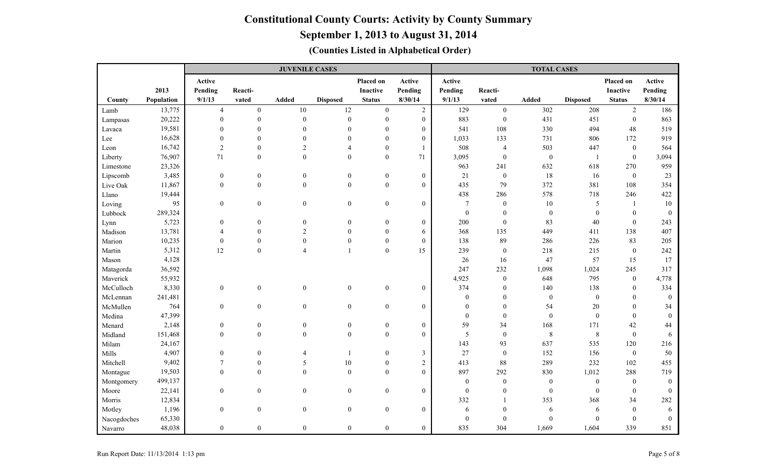### **September 1, 2013 to August 31, 2014**

|             |            |                  |                  | <b>JUVENILE CASES</b> |                  |                  |                  |                  |                  | <b>TOTAL CASES</b> |                  |                  |                  |
|-------------|------------|------------------|------------------|-----------------------|------------------|------------------|------------------|------------------|------------------|--------------------|------------------|------------------|------------------|
|             |            | Active           |                  |                       |                  | Placed on        | Active           | Active           |                  |                    |                  | Placed on        | Active           |
|             | 2013       | Pending          | Reacti-          |                       |                  | <b>Inactive</b>  | Pending          | Pending          | Reacti-          |                    |                  | Inactive         | Pending          |
| County      | Population | 9/1/13           | vated            | Added                 | <b>Disposed</b>  | <b>Status</b>    | 8/30/14          | 9/1/13           | vated            | Added              | <b>Disposed</b>  | <b>Status</b>    | 8/30/14          |
| Lamb        | 13,775     | $\overline{4}$   | $\mathbf{0}$     | $10\,$                | $12\,$           | $\overline{0}$   | $\overline{2}$   | 129              | $\boldsymbol{0}$ | 302                | 208              | $\overline{2}$   | 186              |
| Lampasas    | 20,222     | $\theta$         | $\mathbf{0}$     | $\mathbf{0}$          | $\boldsymbol{0}$ | $\mathbf{0}$     | $\boldsymbol{0}$ | 883              | $\mathbf{0}$     | 431                | 451              | $\overline{0}$   | 863              |
| Lavaca      | 19,581     | $\Omega$         | $\theta$         | $\mathbf{0}$          | $\mathbf{0}$     | $\theta$         | $\overline{0}$   | 541              | 108              | 330                | 494              | 48               | 519              |
| Lee         | 16,628     | $\mathbf{0}$     | $\mathbf{0}$     | $\mathbf{0}$          | $\mathbf{0}$     | $\theta$         | $\boldsymbol{0}$ | 1,033            | 133              | 731                | 806              | 172              | 919              |
| Leon        | 16,742     | $\overline{2}$   | $\mathbf{0}$     | $\overline{2}$        | 4                | $\mathbf{0}$     |                  | 508              | 4                | 503                | 447              | $\mathbf{0}$     | 564              |
| Liberty     | 76,907     | 71               | $\overline{0}$   | $\theta$              | $\mathbf{0}$     | $\theta$         | 71               | 3,095            | $\mathbf{0}$     | $\boldsymbol{0}$   | -1               | $\boldsymbol{0}$ | 3,094            |
| Limestone   | 23,326     |                  |                  |                       |                  |                  |                  | 963              | 241              | 632                | 618              | 270              | 959              |
| Lipscomb    | 3,485      | $\boldsymbol{0}$ | $\boldsymbol{0}$ | $\boldsymbol{0}$      | $\boldsymbol{0}$ | $\boldsymbol{0}$ | $\boldsymbol{0}$ | 21               | $\boldsymbol{0}$ | 18                 | 16               | $\mathbf{0}$     | 23               |
| Live Oak    | 11,867     | $\mathbf{0}$     | $\overline{0}$   | $\mathbf{0}$          | $\mathbf{0}$     | $\boldsymbol{0}$ | $\overline{0}$   | 435              | 79               | 372                | 381              | 108              | 354              |
| Llano       | 19,444     |                  |                  |                       |                  |                  |                  | 438              | 286              | 578                | 718              | 246              | 422              |
| Loving      | 95         | $\overline{0}$   | $\overline{0}$   | $\mathbf{0}$          | $\mathbf{0}$     | $\boldsymbol{0}$ | $\overline{0}$   | $\overline{7}$   | $\mathbf{0}$     | $10\,$             | $\sqrt{5}$       | $\mathbf{1}$     | 10               |
| Lubbock     | 289,324    |                  |                  |                       |                  |                  |                  | $\boldsymbol{0}$ | $\mathbf{0}$     | $\boldsymbol{0}$   | $\boldsymbol{0}$ | $\theta$         | $\boldsymbol{0}$ |
| Lynn        | 5,723      | $\mathbf{0}$     | $\boldsymbol{0}$ | $\mathbf{0}$          | $\mathbf{0}$     | $\mathbf{0}$     | $\overline{0}$   | 200              | $\boldsymbol{0}$ | 83                 | 40               | $\mathbf{0}$     | 243              |
| Madison     | 13,781     | $\overline{4}$   | $\boldsymbol{0}$ | $\overline{2}$        | $\theta$         | $\mathbf{0}$     | 6                | 368              | 135              | 449                | 411              | 138              | 407              |
| Marion      | 10,235     | $\boldsymbol{0}$ | $\theta$         | $\boldsymbol{0}$      | $\theta$         | $\boldsymbol{0}$ | $\boldsymbol{0}$ | 138              | 89               | 286                | 226              | 83               | 205              |
| Martin      | 5,312      | 12               | $\boldsymbol{0}$ | $\overline{4}$        | $\mathbf{1}$     | $\boldsymbol{0}$ | 15               | 239              | $\boldsymbol{0}$ | 218                | 215              | $\boldsymbol{0}$ | 242              |
| Mason       | 4,128      |                  |                  |                       |                  |                  |                  | 26               | 16               | 47                 | 57               | 15               | 17               |
| Matagorda   | 36,592     |                  |                  |                       |                  |                  |                  | 247              | 232              | 1,098              | 1,024            | 245              | 317              |
| Maverick    | 55,932     |                  |                  |                       |                  |                  |                  | 4,925            | $\boldsymbol{0}$ | 648                | 795              | $\mathbf{0}$     | 4,778            |
| McCulloch   | 8,330      | $\boldsymbol{0}$ | $\overline{0}$   | $\boldsymbol{0}$      | $\boldsymbol{0}$ | $\boldsymbol{0}$ | $\overline{0}$   | 374              | $\mathbf{0}$     | 140                | 138              | $\mathbf{0}$     | 334              |
| McLennan    | 241,481    |                  |                  |                       |                  |                  |                  | $\mathbf{0}$     | $\mathbf{0}$     | $\boldsymbol{0}$   | $\boldsymbol{0}$ | $\theta$         | $\overline{0}$   |
| McMullen    | 764        | $\mathbf{0}$     | $\overline{0}$   | $\theta$              | $\overline{0}$   | $\boldsymbol{0}$ | $\overline{0}$   | $\mathbf{0}$     | $\mathbf{0}$     | 54                 | 20               | $\theta$         | 34               |
| Medina      | 47,399     |                  |                  |                       |                  |                  |                  | $\boldsymbol{0}$ | $\boldsymbol{0}$ | $\boldsymbol{0}$   | $\boldsymbol{0}$ | $\mathbf{0}$     | $\mathbf{0}$     |
| Menard      | 2,148      | $\boldsymbol{0}$ | $\boldsymbol{0}$ | $\boldsymbol{0}$      | $\boldsymbol{0}$ | $\boldsymbol{0}$ | $\overline{0}$   | 59               | 34               | 168                | 171              | 42               | 44               |
| Midland     | 151,468    | $\mathbf{0}$     | $\boldsymbol{0}$ | $\theta$              | $\mathbf{0}$     | $\boldsymbol{0}$ | $\overline{0}$   | 5                | $\boldsymbol{0}$ | $\,8\,$            | $\,8\,$          | $\mathbf{0}$     | 6                |
| Milam       | 24,167     |                  |                  |                       |                  |                  |                  | 143              | 93               | 637                | 535              | 120              | 216              |
| Mills       | 4,907      | $\boldsymbol{0}$ | $\boldsymbol{0}$ | $\overline{4}$        | $\overline{1}$   | $\boldsymbol{0}$ | $\mathfrak{Z}$   | 27               | $\boldsymbol{0}$ | 152                | 156              | $\boldsymbol{0}$ | 50               |
| Mitchell    | 9,402      | $\overline{7}$   | $\mathbf{0}$     | 5                     | $10\,$           | $\mathbf{0}$     | $\overline{c}$   | 413              | 88               | 289                | 232              | 102              | 455              |
| Montague    | 19,503     | $\mathbf{0}$     | $\theta$         | $\theta$              | $\overline{0}$   | $\theta$         | $\overline{0}$   | 897              | 292              | 830                | 1,012            | 288              | 719              |
| Montgomery  | 499,137    |                  |                  |                       |                  |                  |                  | $\mathbf{0}$     | $\mathbf{0}$     | $\mathbf{0}$       | $\mathbf{0}$     | $\theta$         | $\theta$         |
| Moore       | 22,141     | $\boldsymbol{0}$ | $\boldsymbol{0}$ | $\mathbf{0}$          | $\boldsymbol{0}$ | $\boldsymbol{0}$ | $\boldsymbol{0}$ | $\boldsymbol{0}$ | $\mathbf{0}$     | $\boldsymbol{0}$   | $\boldsymbol{0}$ | $\boldsymbol{0}$ | $\overline{0}$   |
| Morris      | 12,834     |                  |                  |                       |                  |                  |                  | 332              |                  | 353                | 368              | 34               | 282              |
| Motley      | 1,196      | $\boldsymbol{0}$ | $\boldsymbol{0}$ | $\mathbf{0}$          | $\boldsymbol{0}$ | $\boldsymbol{0}$ | $\overline{0}$   | 6                | $\Omega$         | 6                  | 6                | $\mathbf{0}$     | 6                |
| Nacogdoches | 65,330     |                  |                  |                       |                  |                  |                  | $\boldsymbol{0}$ |                  | $\theta$           | $\theta$         | $\Omega$         | $\theta$         |
| Navarro     | 48,038     | $\boldsymbol{0}$ | $\boldsymbol{0}$ | $\boldsymbol{0}$      | $\boldsymbol{0}$ | $\boldsymbol{0}$ | $\overline{0}$   | 835              | 304              | 1,669              | 1,604            | 339              | 851              |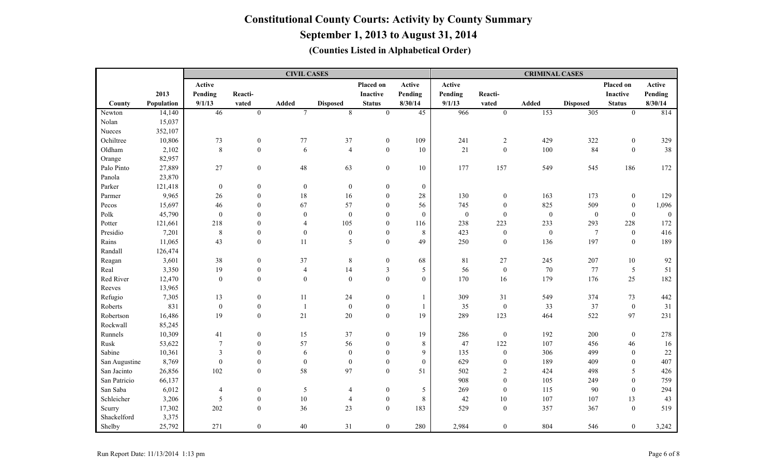|               |            |                         |                  | <b>CIVIL CASES</b> |                  |                         |                  |                  |                  | <b>CRIMINAL CASES</b> |                  |                  |              |
|---------------|------------|-------------------------|------------------|--------------------|------------------|-------------------------|------------------|------------------|------------------|-----------------------|------------------|------------------|--------------|
|               |            | Active                  |                  |                    |                  | Placed on               | Active           | Active           |                  |                       |                  | Placed on        | Active       |
|               | 2013       | Pending                 | Reacti-          |                    |                  | Inactive                | Pending          | Pending          | Reacti-          |                       |                  | <b>Inactive</b>  | Pending      |
| County        | Population | 9/1/13                  | vated            | Added              | <b>Disposed</b>  | <b>Status</b>           | 8/30/14          | 9/1/13           | vated            | <b>Added</b>          | <b>Disposed</b>  | <b>Status</b>    | 8/30/14      |
| Newton        | 14,140     | 46                      | $\overline{0}$   | $7\phantom{.0}$    | 8                | $\boldsymbol{0}$        | $\overline{45}$  | 966              | $\boldsymbol{0}$ | 153                   | $\overline{305}$ | $\overline{0}$   | 814          |
| Nolan         | 15,037     |                         |                  |                    |                  |                         |                  |                  |                  |                       |                  |                  |              |
| Nueces        | 352,107    |                         |                  |                    |                  |                         |                  |                  |                  |                       |                  |                  |              |
| Ochiltree     | 10,806     | 73                      | $\boldsymbol{0}$ | 77                 | 37               | $\boldsymbol{0}$        | 109              | 241              | $\sqrt{2}$       | 429                   | 322              | $\boldsymbol{0}$ | 329          |
| Oldham        | 2,102      | $\boldsymbol{8}$        | $\mathbf{0}$     | 6                  | $\overline{4}$   | $\boldsymbol{0}$        | 10               | 21               | $\boldsymbol{0}$ | 100                   | 84               | $\mathbf{0}$     | 38           |
| Orange        | 82,957     |                         |                  |                    |                  |                         |                  |                  |                  |                       |                  |                  |              |
| Palo Pinto    | 27,889     | 27                      | $\boldsymbol{0}$ | $48\,$             | 63               | $\boldsymbol{0}$        | 10               | 177              | 157              | 549                   | 545              | 186              | 172          |
| Panola        | 23,870     |                         |                  |                    |                  |                         |                  |                  |                  |                       |                  |                  |              |
| Parker        | 121,418    | $\boldsymbol{0}$        | $\mathbf{0}$     | $\mathbf{0}$       | $\mathbf{0}$     | $\mathbf{0}$            | $\boldsymbol{0}$ |                  |                  |                       |                  |                  |              |
| Parmer        | 9,965      | $26\,$                  | $\boldsymbol{0}$ | 18                 | 16               | $\mathbf{0}$            | 28               | 130              | $\boldsymbol{0}$ | 163                   | 173              | $\mathbf{0}$     | 129          |
| Pecos         | 15,697     | 46                      | $\mathbf{0}$     | 67                 | 57               | $\overline{0}$          | 56               | 745              | $\boldsymbol{0}$ | 825                   | 509              | $\mathbf{0}$     | 1,096        |
| Polk          | 45,790     | $\boldsymbol{0}$        | $\boldsymbol{0}$ | $\overline{0}$     | $\boldsymbol{0}$ | $\overline{0}$          | $\mathbf{0}$     | $\boldsymbol{0}$ | $\mathbf{0}$     | $\boldsymbol{0}$      | $\boldsymbol{0}$ | $\mathbf{0}$     | $\mathbf{0}$ |
| Potter        | 121,661    | 218                     | $\theta$         | $\overline{4}$     | 105              | $\boldsymbol{0}$        | 116              | 238              | 223              | 233                   | 293              | 228              | 172          |
| Presidio      | 7,201      | $\,$ 8 $\,$             | $\boldsymbol{0}$ | $\mathbf{0}$       | $\boldsymbol{0}$ | $\boldsymbol{0}$        | $\,8\,$          | 423              | $\boldsymbol{0}$ | $\boldsymbol{0}$      | $7\phantom{.0}$  | $\mathbf{0}$     | 416          |
| Rains         | 11,065     | 43                      | $\boldsymbol{0}$ | 11                 | 5                | $\overline{0}$          | 49               | 250              | $\boldsymbol{0}$ | 136                   | 197              | $\boldsymbol{0}$ | 189          |
| Randall       | 126,474    |                         |                  |                    |                  |                         |                  |                  |                  |                       |                  |                  |              |
| Reagan        | 3,601      | $38\,$                  | $\mathbf{0}$     | 37                 | $\,8\,$          | $\boldsymbol{0}$        | 68               | 81               | $27\,$           | 245                   | 207              | $10\,$           | 92           |
| Real          | 3,350      | 19                      | $\boldsymbol{0}$ | $\overline{4}$     | 14               | $\overline{\mathbf{3}}$ | 5                | 56               | $\mathbf{0}$     | 70                    | 77               | 5                | 51           |
| Red River     | 12,470     | $\boldsymbol{0}$        | $\boldsymbol{0}$ | $\mathbf{0}$       | $\mathbf{0}$     | $\overline{0}$          | $\mathbf{0}$     | 170              | 16               | 179                   | 176              | 25               | 182          |
| Reeves        | 13,965     |                         |                  |                    |                  |                         |                  |                  |                  |                       |                  |                  |              |
| Refugio       | 7,305      | 13                      | $\boldsymbol{0}$ | 11                 | 24               | $\boldsymbol{0}$        |                  | 309              | 31               | 549                   | 374              | 73               | 442          |
| Roberts       | 831        | $\boldsymbol{0}$        | $\boldsymbol{0}$ | $\overline{1}$     | $\boldsymbol{0}$ | $\boldsymbol{0}$        |                  | 35               | $\boldsymbol{0}$ | 33                    | 37               | $\mathbf{0}$     | 31           |
| Robertson     | 16,486     | 19                      | $\boldsymbol{0}$ | 21                 | $20\,$           | $\boldsymbol{0}$        | 19               | 289              | 123              | 464                   | 522              | 97               | 231          |
| Rockwall      | 85,245     |                         |                  |                    |                  |                         |                  |                  |                  |                       |                  |                  |              |
| Runnels       | 10,309     | 41                      | $\mathbf{0}$     | 15                 | 37               | $\mathbf{0}$            | 19               | 286              | $\mathbf{0}$     | 192                   | 200              | $\mathbf{0}$     | 278          |
| Rusk          | 53,622     | $\overline{7}$          | $\boldsymbol{0}$ | 57                 | 56               | $\overline{0}$          | $\,8\,$          | 47               | 122              | 107                   | 456              | 46               | 16           |
| Sabine        | 10,361     | $\overline{\mathbf{3}}$ | $\mathbf{0}$     | 6                  | $\boldsymbol{0}$ | $\overline{0}$          | 9                | 135              | $\boldsymbol{0}$ | 306                   | 499              | $\theta$         | $22\,$       |
| San Augustine | 8,769      | $\boldsymbol{0}$        | $\mathbf{0}$     | $\boldsymbol{0}$   | $\mathbf{0}$     | $\overline{0}$          | $\boldsymbol{0}$ | 629              | $\mathbf{0}$     | 189                   | 409              | $\mathbf{0}$     | 407          |
| San Jacinto   | 26,856     | 102                     | $\boldsymbol{0}$ | 58                 | 97               | $\overline{0}$          | 51               | 502              | $\overline{c}$   | 424                   | 498              | 5                | 426          |
| San Patricio  | 66,137     |                         |                  |                    |                  |                         |                  | 908              | $\mathbf{0}$     | 105                   | 249              | $\theta$         | 759          |
| San Saba      | 6,012      | $\overline{4}$          | $\boldsymbol{0}$ | 5                  | $\overline{4}$   | $\boldsymbol{0}$        | 5                | 269              | $\mathbf{0}$     | 115                   | 90               | $\theta$         | 294          |
| Schleicher    | 3,206      | 5                       | $\boldsymbol{0}$ | $10\,$             | $\overline{4}$   | $\boldsymbol{0}$        | $\,8\,$          | 42               | $10\,$           | 107                   | 107              | 13               | 43           |
| Scurry        | 17,302     | 202                     | $\boldsymbol{0}$ | 36                 | 23               | $\overline{0}$          | 183              | 529              | $\mathbf{0}$     | 357                   | 367              | $\mathbf{0}$     | 519          |
| Shackelford   | 3,375      |                         |                  |                    |                  |                         |                  |                  |                  |                       |                  |                  |              |
| Shelby        | 25,792     | 271                     | $\mathbf{0}$     | 40                 | 31               | $\overline{0}$          | 280              | 2,984            | $\mathbf{0}$     | 804                   | 546              | $\overline{0}$   | 3,242        |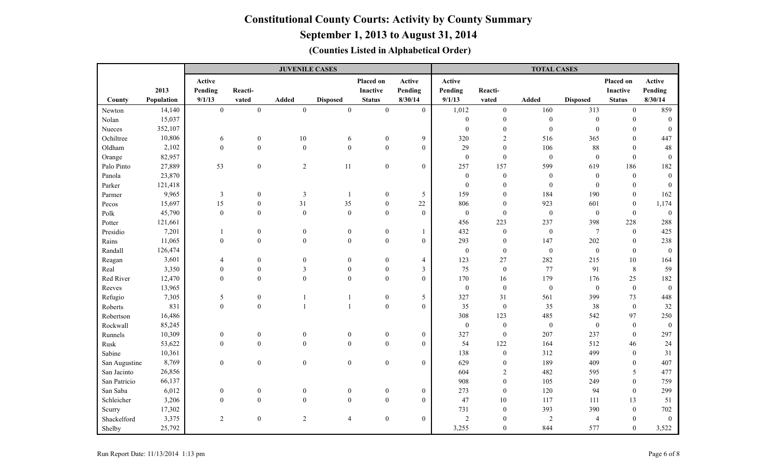**September 1, 2013 to August 31, 2014**

|               |            |                  |                  | <b>JUVENILE CASES</b>   |                  |                  |                          |                  |                  | <b>TOTAL CASES</b> |                  |                |                  |
|---------------|------------|------------------|------------------|-------------------------|------------------|------------------|--------------------------|------------------|------------------|--------------------|------------------|----------------|------------------|
|               |            | Active           |                  |                         |                  | Placed on        | Active                   | Active           |                  |                    |                  | Placed on      | Active           |
|               | 2013       | Pending          | Reacti-          |                         |                  | <b>Inactive</b>  | Pending                  | Pending          | Reacti-          |                    |                  | Inactive       | Pending          |
| County        | Population | 9/1/13           | vated            | Added                   | <b>Disposed</b>  | <b>Status</b>    | 8/30/14                  | 9/1/13           | vated            | <b>Added</b>       | <b>Disposed</b>  | <b>Status</b>  | 8/30/14          |
| Newton        | 14,140     | $\boldsymbol{0}$ | $\mathbf{0}$     | $\boldsymbol{0}$        | $\boldsymbol{0}$ | $\mathbf{0}$     | $\overline{0}$           | 1,012            | $\boldsymbol{0}$ | 160                | 313              | $\overline{0}$ | 859              |
| Nolan         | 15,037     |                  |                  |                         |                  |                  |                          | $\mathbf{0}$     | $\boldsymbol{0}$ | $\boldsymbol{0}$   | $\mathbf{0}$     | $\Omega$       | $\theta$         |
| Nueces        | 352,107    |                  |                  |                         |                  |                  |                          | $\boldsymbol{0}$ | $\boldsymbol{0}$ | $\boldsymbol{0}$   | $\boldsymbol{0}$ | $\theta$       | $\boldsymbol{0}$ |
| Ochiltree     | 10,806     | 6                | $\boldsymbol{0}$ | 10                      | 6                | $\boldsymbol{0}$ | 9                        | 320              | 2                | 516                | 365              | $\Omega$       | 447              |
| Oldham        | 2,102      | $\mathbf{0}$     | $\theta$         | $\boldsymbol{0}$        | $\boldsymbol{0}$ | $\mathbf{0}$     | $\overline{0}$           | 29               | $\mathbf{0}$     | 106                | 88               | $\theta$       | 48               |
| Orange        | 82,957     |                  |                  |                         |                  |                  |                          | $\boldsymbol{0}$ | $\boldsymbol{0}$ | $\boldsymbol{0}$   | $\boldsymbol{0}$ | $\Omega$       | $\mathbf{0}$     |
| Palo Pinto    | 27,889     | 53               | $\boldsymbol{0}$ | $\sqrt{2}$              | $11\,$           | $\boldsymbol{0}$ | $\boldsymbol{0}$         | 257              | 157              | 599                | 619              | 186            | 182              |
| Panola        | 23,870     |                  |                  |                         |                  |                  |                          | $\mathbf{0}$     | $\boldsymbol{0}$ | $\boldsymbol{0}$   | $\boldsymbol{0}$ | $\mathbf{0}$   | $\theta$         |
| Parker        | 121,418    |                  |                  |                         |                  |                  |                          | $\mathbf{0}$     | $\theta$         | $\mathbf{0}$       | $\theta$         | $\theta$       | $\theta$         |
| Parmer        | 9,965      | $\mathfrak{Z}$   | $\boldsymbol{0}$ | $\overline{\mathbf{3}}$ | $\mathbf{1}$     | $\boldsymbol{0}$ | $\sqrt{5}$               | 159              | $\boldsymbol{0}$ | 184                | 190              | $\theta$       | 162              |
| Pecos         | 15,697     | 15               | $\boldsymbol{0}$ | 31                      | 35               | $\overline{0}$   | 22                       | 806              | $\boldsymbol{0}$ | 923                | 601              | $\mathbf{0}$   | 1,174            |
| Polk          | 45,790     | $\boldsymbol{0}$ | $\theta$         | $\boldsymbol{0}$        | $\mathbf{0}$     | $\overline{0}$   | $\mathbf{0}$             | $\mathbf{0}$     | $\boldsymbol{0}$ | $\boldsymbol{0}$   | $\boldsymbol{0}$ | $\theta$       | $\boldsymbol{0}$ |
| Potter        | 121,661    |                  |                  |                         |                  |                  |                          | 456              | 223              | 237                | 398              | 228            | 288              |
| Presidio      | 7,201      |                  | $\boldsymbol{0}$ | $\boldsymbol{0}$        | $\bf{0}$         | $\boldsymbol{0}$ |                          | 432              | $\boldsymbol{0}$ | $\boldsymbol{0}$   | $\overline{7}$   | $\bf{0}$       | 425              |
| Rains         | 11,065     | $\theta$         | $\mathbf{0}$     | $\boldsymbol{0}$        | $\boldsymbol{0}$ | $\boldsymbol{0}$ | $\boldsymbol{0}$         | 293              | $\boldsymbol{0}$ | 147                | 202              | $\mathbf{0}$   | 238              |
| Randall       | 126,474    |                  |                  |                         |                  |                  |                          | $\boldsymbol{0}$ | $\boldsymbol{0}$ | $\boldsymbol{0}$   | $\boldsymbol{0}$ | $\mathbf{0}$   | $\mathbf{0}$     |
| Reagan        | 3,601      | $\overline{4}$   | $\boldsymbol{0}$ | $\overline{0}$          | $\boldsymbol{0}$ | $\boldsymbol{0}$ | $\overline{\mathcal{A}}$ | 123              | 27               | 282                | 215              | 10             | 164              |
| Real          | 3,350      | $\boldsymbol{0}$ | $\boldsymbol{0}$ | $\overline{\mathbf{3}}$ | $\boldsymbol{0}$ | $\boldsymbol{0}$ | $\mathfrak{Z}$           | 75               | $\boldsymbol{0}$ | 77                 | 91               | 8              | 59               |
| Red River     | 12,470     | $\theta$         | $\mathbf{0}$     | $\boldsymbol{0}$        | $\overline{0}$   | $\mathbf{0}$     | $\mathbf{0}$             | 170              | 16               | 179                | 176              | 25             | 182              |
| Reeves        | 13,965     |                  |                  |                         |                  |                  |                          | $\mathbf{0}$     | $\boldsymbol{0}$ | $\boldsymbol{0}$   | $\boldsymbol{0}$ | $\overline{0}$ | $\mathbf{0}$     |
| Refugio       | 7,305      | $\mathfrak{S}$   | $\boldsymbol{0}$ |                         | $\mathbf{1}$     | $\boldsymbol{0}$ | $\sqrt{5}$               | 327              | 31               | 561                | 399              | 73             | 448              |
| Roberts       | 831        | $\boldsymbol{0}$ | $\mathbf{0}$     |                         | $\overline{1}$   | $\overline{0}$   | $\overline{0}$           | 35               | $\boldsymbol{0}$ | 35                 | 38               | $\overline{0}$ | 32               |
| Robertson     | 16,486     |                  |                  |                         |                  |                  |                          | 308              | 123              | 485                | 542              | 97             | 250              |
| Rockwall      | 85,245     |                  |                  |                         |                  |                  |                          | $\boldsymbol{0}$ | $\boldsymbol{0}$ | $\boldsymbol{0}$   | $\boldsymbol{0}$ | $\mathbf{0}$   | $\boldsymbol{0}$ |
| Runnels       | 10,309     | $\boldsymbol{0}$ | $\boldsymbol{0}$ | $\boldsymbol{0}$        | $\boldsymbol{0}$ | $\boldsymbol{0}$ | $\boldsymbol{0}$         | 327              | $\boldsymbol{0}$ | 207                | 237              | $\mathbf{0}$   | 297              |
| Rusk          | 53,622     | $\mathbf{0}$     | $\mathbf{0}$     | $\mathbf{0}$            | $\mathbf{0}$     | $\overline{0}$   | $\overline{0}$           | 54               | 122              | 164                | 512              | 46             | 24               |
| Sabine        | 10,361     |                  |                  |                         |                  |                  |                          | 138              | $\boldsymbol{0}$ | 312                | 499              | $\Omega$       | 31               |
| San Augustine | 8,769      | $\mathbf{0}$     | $\overline{0}$   | $\mathbf{0}$            | $\mathbf{0}$     | $\boldsymbol{0}$ | $\boldsymbol{0}$         | 629              | $\boldsymbol{0}$ | 189                | 409              | $\theta$       | 407              |
| San Jacinto   | 26,856     |                  |                  |                         |                  |                  |                          | 604              | $\overline{2}$   | 482                | 595              | 5              | 477              |
| San Patricio  | 66,137     |                  |                  |                         |                  |                  |                          | 908              | $\mathbf{0}$     | 105                | 249              | $\Omega$       | 759              |
| San Saba      | 6,012      | $\theta$         | $\boldsymbol{0}$ | $\boldsymbol{0}$        | $\boldsymbol{0}$ | $\boldsymbol{0}$ | $\boldsymbol{0}$         | 273              | $\boldsymbol{0}$ | 120                | 94               | $\Omega$       | 299              |
| Schleicher    | 3,206      | $\theta$         | $\mathbf{0}$     | $\boldsymbol{0}$        | $\mathbf{0}$     | $\boldsymbol{0}$ | $\boldsymbol{0}$         | 47               | 10               | 117                | 111              | 13             | 51               |
| Scurry        | 17,302     |                  |                  |                         |                  |                  |                          | 731              | $\boldsymbol{0}$ | 393                | 390              | $\mathbf{0}$   | 702              |
| Shackelford   | 3,375      | $\sqrt{2}$       | $\boldsymbol{0}$ | $\sqrt{2}$              | $\overline{4}$   | $\boldsymbol{0}$ | $\mathbf{0}$             | $\sqrt{2}$       | $\theta$         | $\overline{2}$     | $\overline{4}$   | $\theta$       | $\mathbf{0}$     |
| Shelby        | 25,792     |                  |                  |                         |                  |                  |                          | 3,255            | $\boldsymbol{0}$ | 844                | 577              | $\mathbf{0}$   | 3,522            |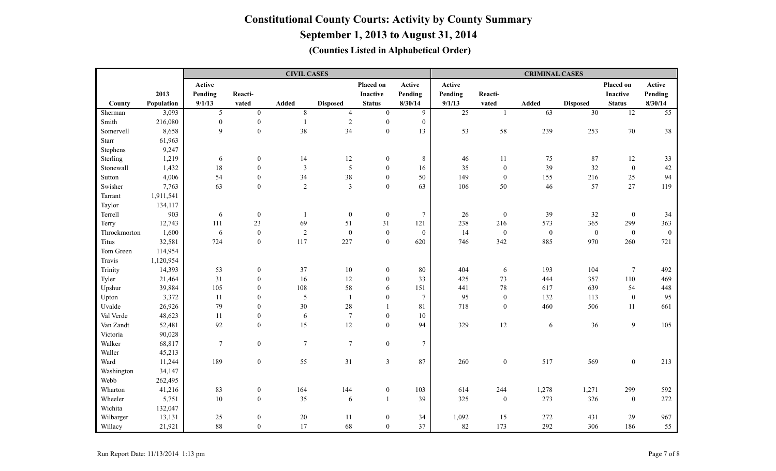|              |            |                  |                  | <b>CIVIL CASES</b> |                  |                  |                 | <b>CRIMINAL CASES</b> |                  |                  |                  |                  |                 |  |
|--------------|------------|------------------|------------------|--------------------|------------------|------------------|-----------------|-----------------------|------------------|------------------|------------------|------------------|-----------------|--|
|              |            | Active           |                  |                    |                  | Placed on        | Active          | Active                |                  |                  |                  | Placed on        | Active          |  |
|              | 2013       | Pending          | Reacti-          |                    |                  | <b>Inactive</b>  | Pending         | Pending               | Reacti-          |                  |                  | <b>Inactive</b>  | Pending         |  |
| County       | Population | 9/1/13           | vated            | <b>Added</b>       | <b>Disposed</b>  | <b>Status</b>    | 8/30/14         | 9/1/13                | vated            | <b>Added</b>     | <b>Disposed</b>  | <b>Status</b>    | 8/30/14         |  |
| Sherman      | 3,093      | 5                | $\overline{0}$   | $\overline{8}$     | $\overline{4}$   | $\overline{0}$   | 9               | $\overline{25}$       | $\mathbf{1}$     | 63               | $\overline{30}$  | $\overline{12}$  | $\overline{55}$ |  |
| Smith        | 216,080    | $\boldsymbol{0}$ | $\boldsymbol{0}$ | $\overline{1}$     | $\overline{2}$   | $\boldsymbol{0}$ | $\mathbf{0}$    |                       |                  |                  |                  |                  |                 |  |
| Somervell    | 8,658      | $\overline{9}$   | $\boldsymbol{0}$ | 38                 | 34               | $\boldsymbol{0}$ | 13              | 53                    | 58               | 239              | 253              | $70\,$           | 38              |  |
| Starr        | 61,963     |                  |                  |                    |                  |                  |                 |                       |                  |                  |                  |                  |                 |  |
| Stephens     | 9,247      |                  |                  |                    |                  |                  |                 |                       |                  |                  |                  |                  |                 |  |
| Sterling     | 1,219      | 6                | $\boldsymbol{0}$ | 14                 | 12               | $\boldsymbol{0}$ | $\,$ 8 $\,$     | 46                    | 11               | 75               | 87               | 12               | 33              |  |
| Stonewall    | 1,432      | 18               | $\boldsymbol{0}$ | $\mathfrak{Z}$     | $\mathfrak{S}$   | $\overline{0}$   | 16              | 35                    | $\boldsymbol{0}$ | 39               | 32               | $\boldsymbol{0}$ | $42\,$          |  |
| Sutton       | 4,006      | 54               | $\boldsymbol{0}$ | 34                 | $38\,$           | $\overline{0}$   | 50              | 149                   | $\mathbf{0}$     | 155              | 216              | 25               | 94              |  |
| Swisher      | 7,763      | 63               | $\boldsymbol{0}$ | $\overline{2}$     | $\overline{3}$   | $\overline{0}$   | 63              | 106                   | $50\,$           | 46               | 57               | 27               | 119             |  |
| Tarrant      | 1,911,541  |                  |                  |                    |                  |                  |                 |                       |                  |                  |                  |                  |                 |  |
| Taylor       | 134,117    |                  |                  |                    |                  |                  |                 |                       |                  |                  |                  |                  |                 |  |
| Terrell      | 903        | 6                | $\boldsymbol{0}$ | $\mathbf{1}$       | $\mathbf{0}$     | $\boldsymbol{0}$ | $\tau$          | 26                    | $\boldsymbol{0}$ | 39               | 32               | $\boldsymbol{0}$ | 34              |  |
| Terry        | 12,743     | 111              | 23               | 69                 | 51               | 31               | 121             | 238                   | 216              | 573              | 365              | 299              | 363             |  |
| Throckmorton | 1,600      | $\sqrt{6}$       | $\boldsymbol{0}$ | $\overline{2}$     | $\boldsymbol{0}$ | $\boldsymbol{0}$ | $\mathbf{0}$    | 14                    | $\boldsymbol{0}$ | $\boldsymbol{0}$ | $\boldsymbol{0}$ | $\mathbf{0}$     | $\mathbf{0}$    |  |
| Titus        | 32,581     | 724              | $\boldsymbol{0}$ | 117                | 227              | $\boldsymbol{0}$ | 620             | 746                   | 342              | 885              | 970              | 260              | 721             |  |
| Tom Green    | 114,954    |                  |                  |                    |                  |                  |                 |                       |                  |                  |                  |                  |                 |  |
| Travis       | 1,120,954  |                  |                  |                    |                  |                  |                 |                       |                  |                  |                  |                  |                 |  |
| Trinity      | 14,393     | 53               | $\boldsymbol{0}$ | 37                 | $10\,$           | $\mathbf{0}$     | 80              | 404                   | 6                | 193              | 104              | $\tau$           | 492             |  |
| Tyler        | 21,464     | 31               | $\boldsymbol{0}$ | 16                 | 12               | $\mathbf{0}$     | 33              | 425                   | 73               | 444              | 357              | 110              | 469             |  |
| Upshur       | 39,884     | 105              | $\boldsymbol{0}$ | 108                | 58               | 6                | 151             | 441                   | $78\,$           | 617              | 639              | 54               | 448             |  |
| Upton        | 3,372      | 11               | $\boldsymbol{0}$ | 5                  | $\overline{1}$   | $\overline{0}$   | $7\phantom{.0}$ | 95                    | $\bf{0}$         | 132              | 113              | $\mathbf{0}$     | 95              |  |
| Uvalde       | 26,926     | 79               | $\boldsymbol{0}$ | 30                 | $28\,$           | 1                | 81              | 718                   | $\boldsymbol{0}$ | 460              | 506              | 11               | 661             |  |
| Val Verde    | 48,623     | 11               | $\boldsymbol{0}$ | 6                  | $\overline{7}$   | $\boldsymbol{0}$ | 10              |                       |                  |                  |                  |                  |                 |  |
| Van Zandt    | 52,481     | 92               | $\boldsymbol{0}$ | 15                 | 12               | $\overline{0}$   | 94              | 329                   | $12\,$           | 6                | 36               | 9                | 105             |  |
| Victoria     | 90,028     |                  |                  |                    |                  |                  |                 |                       |                  |                  |                  |                  |                 |  |
| Walker       | 68,817     | $\overline{7}$   | $\boldsymbol{0}$ | $\tau$             | $\overline{7}$   | $\boldsymbol{0}$ | $\tau$          |                       |                  |                  |                  |                  |                 |  |
| Waller       | 45,213     |                  |                  |                    |                  |                  |                 |                       |                  |                  |                  |                  |                 |  |
| Ward         | 11,244     | 189              | $\mathbf{0}$     | 55                 | 31               | $\mathfrak{Z}$   | 87              | 260                   | $\boldsymbol{0}$ | 517              | 569              | $\mathbf{0}$     | 213             |  |
| Washington   | 34,147     |                  |                  |                    |                  |                  |                 |                       |                  |                  |                  |                  |                 |  |
| Webb         | 262,495    |                  |                  |                    |                  |                  |                 |                       |                  |                  |                  |                  |                 |  |
| Wharton      | 41,216     | 83               | $\boldsymbol{0}$ | 164                | 144              | $\boldsymbol{0}$ | 103             | 614                   | 244              | 1,278            | 1,271            | 299              | 592             |  |
| Wheeler      | 5,751      | $10\,$           | $\boldsymbol{0}$ | 35                 | $\sqrt{6}$       | $\mathbf{1}$     | 39              | 325                   | $\bf{0}$         | 273              | 326              | $\boldsymbol{0}$ | 272             |  |
| Wichita      | 132,047    |                  |                  |                    |                  |                  |                 |                       |                  |                  |                  |                  |                 |  |
| Wilbarger    | 13,131     | 25               | $\boldsymbol{0}$ | $20\,$             | 11               | $\boldsymbol{0}$ | 34              | 1,092                 | 15               | 272              | 431              | 29               | 967             |  |
| Willacy      | 21,921     | 88               | $\mathbf{0}$     | 17                 | 68               | $\boldsymbol{0}$ | 37              | 82                    | 173              | 292              | 306              | 186              | 55              |  |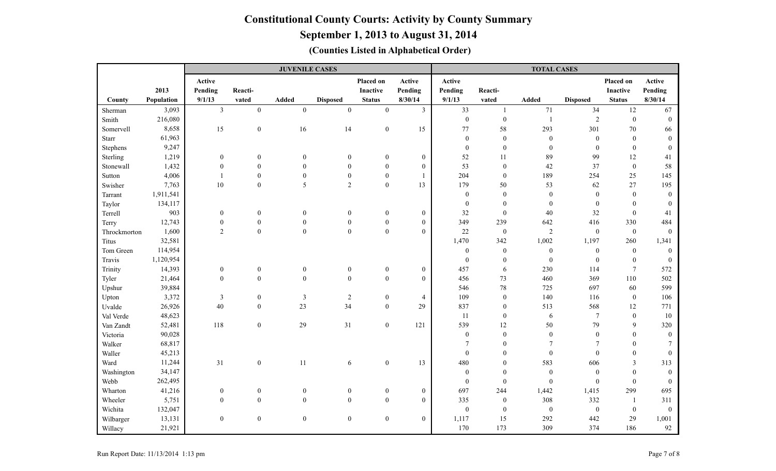### **September 1, 2013 to August 31, 2014**

|              |            | <b>JUVENILE CASES</b> |                  |                         |                  |                  |                  | <b>TOTAL CASES</b> |                  |                  |                  |                  |                  |  |
|--------------|------------|-----------------------|------------------|-------------------------|------------------|------------------|------------------|--------------------|------------------|------------------|------------------|------------------|------------------|--|
|              |            | Active                |                  |                         |                  | Placed on        | Active           | Active             |                  |                  |                  | Placed on        | Active           |  |
|              | 2013       | Pending               | Reacti-          |                         |                  | <b>Inactive</b>  | Pending          | Pending            | Reacti-          |                  |                  | Inactive         | Pending          |  |
| County       | Population | 9/1/13                | vated            | <b>Added</b>            | <b>Disposed</b>  | <b>Status</b>    | 8/30/14          | 9/1/13             | vated            | Added            | <b>Disposed</b>  | <b>Status</b>    | 8/30/14          |  |
| Sherman      | 3,093      | $\overline{3}$        | $\boldsymbol{0}$ | $\boldsymbol{0}$        | $\boldsymbol{0}$ | $\boldsymbol{0}$ | $\overline{3}$   | 33                 | $\mathbf{1}$     | 71               | 34               | 12               | 67               |  |
| Smith        | 216,080    |                       |                  |                         |                  |                  |                  | $\boldsymbol{0}$   | $\boldsymbol{0}$ | $\overline{1}$   | $\overline{2}$   | $\overline{0}$   | $\theta$         |  |
| Somervell    | 8,658      | 15                    | $\mathbf{0}$     | 16                      | 14               | $\boldsymbol{0}$ | 15               | 77                 | 58               | 293              | 301              | 70               | 66               |  |
| Starr        | 61,963     |                       |                  |                         |                  |                  |                  | $\boldsymbol{0}$   | $\boldsymbol{0}$ | $\boldsymbol{0}$ | $\boldsymbol{0}$ | $\mathbf{0}$     | $\theta$         |  |
| Stephens     | 9,247      |                       |                  |                         |                  |                  |                  | $\mathbf{0}$       | $\boldsymbol{0}$ | $\boldsymbol{0}$ | $\boldsymbol{0}$ | $\mathbf{0}$     | $\mathbf{0}$     |  |
| Sterling     | 1,219      | $\boldsymbol{0}$      | $\boldsymbol{0}$ | $\mathbf{0}$            | $\boldsymbol{0}$ | $\boldsymbol{0}$ | $\boldsymbol{0}$ | 52                 | $11\,$           | 89               | 99               | 12               | 41               |  |
| Stonewall    | 1,432      | $\boldsymbol{0}$      | $\mathbf{0}$     | $\boldsymbol{0}$        | $\mathbf{0}$     | $\boldsymbol{0}$ | $\boldsymbol{0}$ | 53                 | $\boldsymbol{0}$ | 42               | 37               | $\mathbf{0}$     | 58               |  |
| Sutton       | 4,006      | $\mathbf{1}$          | $\boldsymbol{0}$ | $\boldsymbol{0}$        | $\boldsymbol{0}$ | $\boldsymbol{0}$ | $\mathbf{1}$     | 204                | $\boldsymbol{0}$ | 189              | 254              | 25               | 145              |  |
| Swisher      | 7,763      | 10                    | $\mathbf{0}$     | 5                       | $\overline{2}$   | $\overline{0}$   | 13               | 179                | 50               | 53               | 62               | 27               | 195              |  |
| Tarrant      | 1,911,541  |                       |                  |                         |                  |                  |                  | $\mathbf{0}$       | $\boldsymbol{0}$ | $\boldsymbol{0}$ | $\mathbf{0}$     | $\theta$         | $\mathbf{0}$     |  |
| Taylor       | 134,117    |                       |                  |                         |                  |                  |                  | $\mathbf{0}$       | $\mathbf{0}$     | $\boldsymbol{0}$ | $\boldsymbol{0}$ | $\Omega$         | $\Omega$         |  |
| Terrell      | 903        | $\boldsymbol{0}$      | $\boldsymbol{0}$ | $\boldsymbol{0}$        | $\boldsymbol{0}$ | $\boldsymbol{0}$ | $\boldsymbol{0}$ | 32                 | $\boldsymbol{0}$ | $40\,$           | 32               | $\mathbf{0}$     | 41               |  |
| Terry        | 12,743     | $\boldsymbol{0}$      | $\boldsymbol{0}$ | $\mathbf{0}$            | $\mathbf{0}$     | $\boldsymbol{0}$ | $\boldsymbol{0}$ | 349                | 239              | 642              | 416              | 330              | 484              |  |
| Throckmorton | 1,600      | $\overline{2}$        | $\boldsymbol{0}$ | $\boldsymbol{0}$        | $\boldsymbol{0}$ | $\mathbf{0}$     | $\overline{0}$   | 22                 | $\boldsymbol{0}$ | $\overline{2}$   | $\boldsymbol{0}$ | $\mathbf{0}$     | $\boldsymbol{0}$ |  |
| Titus        | 32,581     |                       |                  |                         |                  |                  |                  | 1,470              | 342              | 1,002            | 1,197            | 260              | 1,341            |  |
| Tom Green    | 114,954    |                       |                  |                         |                  |                  |                  | $\boldsymbol{0}$   | $\boldsymbol{0}$ | $\boldsymbol{0}$ | $\boldsymbol{0}$ | $\boldsymbol{0}$ | $\boldsymbol{0}$ |  |
| Travis       | 1,120,954  |                       |                  |                         |                  |                  |                  | $\mathbf{0}$       | $\boldsymbol{0}$ | $\boldsymbol{0}$ | $\boldsymbol{0}$ | $\mathbf{0}$     | $\mathbf{0}$     |  |
| Trinity      | 14,393     | $\boldsymbol{0}$      | $\boldsymbol{0}$ | $\boldsymbol{0}$        | $\mathbf{0}$     | $\boldsymbol{0}$ | $\boldsymbol{0}$ | 457                | 6                | 230              | 114              | $\tau$           | 572              |  |
| Tyler        | 21,464     | $\boldsymbol{0}$      | $\boldsymbol{0}$ | $\boldsymbol{0}$        | $\boldsymbol{0}$ | $\boldsymbol{0}$ | $\boldsymbol{0}$ | 456                | 73               | 460              | 369              | 110              | 502              |  |
| Upshur       | 39,884     |                       |                  |                         |                  |                  |                  | 546                | 78               | 725              | 697              | 60               | 599              |  |
| Upton        | 3,372      | 3                     | $\boldsymbol{0}$ | $\overline{\mathbf{3}}$ | $\sqrt{2}$       | $\mathbf{0}$     | $\overline{4}$   | 109                | $\boldsymbol{0}$ | 140              | 116              | $\overline{0}$   | 106              |  |
| Uvalde       | 26,926     | 40                    | $\mathbf{0}$     | 23                      | 34               | $\overline{0}$   | 29               | 837                | $\boldsymbol{0}$ | 513              | 568              | 12               | 771              |  |
| Val Verde    | 48,623     |                       |                  |                         |                  |                  |                  | 11                 | $\boldsymbol{0}$ | $\sqrt{6}$       | $\overline{7}$   | $\boldsymbol{0}$ | $10\,$           |  |
| Van Zandt    | 52,481     | 118                   | $\mathbf{0}$     | 29                      | 31               | $\mathbf{0}$     | 121              | 539                | 12               | 50               | 79               | 9                | 320              |  |
| Victoria     | 90,028     |                       |                  |                         |                  |                  |                  | $\boldsymbol{0}$   | $\boldsymbol{0}$ | $\boldsymbol{0}$ | $\boldsymbol{0}$ | $\Omega$         | $\mathbf{0}$     |  |
| Walker       | 68,817     |                       |                  |                         |                  |                  |                  | $\tau$             | $\mathbf{0}$     | $\overline{7}$   | $7\phantom{.0}$  | $\theta$         | $\overline{7}$   |  |
| Waller       | 45,213     |                       |                  |                         |                  |                  |                  | $\boldsymbol{0}$   | $\mathbf{0}$     | $\boldsymbol{0}$ | $\boldsymbol{0}$ | $\theta$         | $\boldsymbol{0}$ |  |
| Ward         | 11,244     | 31                    | $\boldsymbol{0}$ | 11                      | 6                | $\mathbf{0}$     | 13               | 480                | $\mathbf{0}$     | 583              | 606              | 3                | 313              |  |
| Washington   | 34,147     |                       |                  |                         |                  |                  |                  | $\mathbf{0}$       | $\mathbf{0}$     | $\boldsymbol{0}$ | $\boldsymbol{0}$ | $\Omega$         | $\mathbf{0}$     |  |
| Webb         | 262,495    |                       |                  |                         |                  |                  |                  | $\theta$           | $\mathbf{0}$     | $\mathbf{0}$     | $\theta$         | $\theta$         | $\theta$         |  |
| Wharton      | 41,216     | $\boldsymbol{0}$      | $\boldsymbol{0}$ | $\boldsymbol{0}$        | $\boldsymbol{0}$ | $\boldsymbol{0}$ | $\boldsymbol{0}$ | 697                | 244              | 1,442            | 1,415            | 299              | 695              |  |
| Wheeler      | 5,751      | $\mathbf{0}$          | $\boldsymbol{0}$ | $\boldsymbol{0}$        | $\boldsymbol{0}$ | $\mathbf{0}$     | $\overline{0}$   | 335                | $\boldsymbol{0}$ | 308              | 332              | -1               | 311              |  |
| Wichita      | 132,047    |                       |                  |                         |                  |                  |                  | $\boldsymbol{0}$   | $\boldsymbol{0}$ | $\boldsymbol{0}$ | $\boldsymbol{0}$ | $\mathbf{0}$     | $\boldsymbol{0}$ |  |
| Wilbarger    | 13,131     | $\boldsymbol{0}$      | $\boldsymbol{0}$ | $\boldsymbol{0}$        | $\boldsymbol{0}$ | $\boldsymbol{0}$ | $\overline{0}$   | 1,117              | 15               | 292              | 442              | 29               | 1,001            |  |
| Willacy      | 21,921     |                       |                  |                         |                  |                  |                  | 170                | 173              | 309              | 374              | 186              | 92               |  |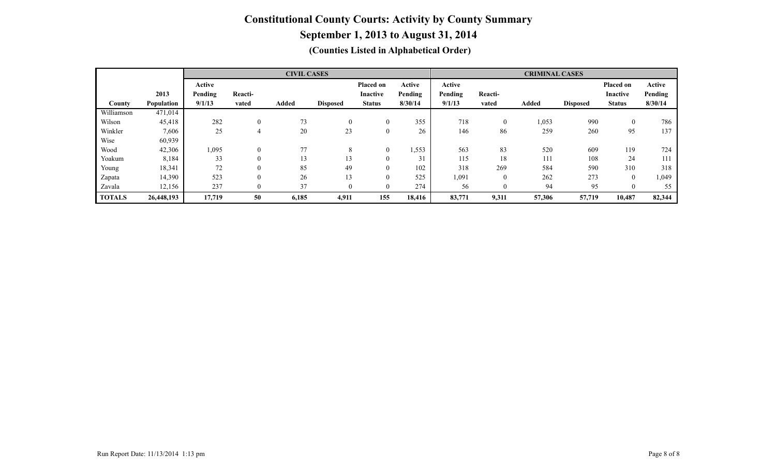|               |            | <b>CIVIL CASES</b> |          |       |                 |                 |         |         | <b>CRIMINAL CASES</b> |              |                 |                 |         |  |
|---------------|------------|--------------------|----------|-------|-----------------|-----------------|---------|---------|-----------------------|--------------|-----------------|-----------------|---------|--|
|               |            | Active             |          |       |                 | Placed on       | Active  | Active  |                       |              |                 | Placed on       | Active  |  |
|               | 2013       | Pending            | Reacti-  |       |                 | <b>Inactive</b> | Pending | Pending | Reacti-               |              |                 | <b>Inactive</b> | Pending |  |
| County        | Population | 9/1/13             | vated    | Added | <b>Disposed</b> | <b>Status</b>   | 8/30/14 | 9/1/13  | vated                 | <b>Added</b> | <b>Disposed</b> | <b>Status</b>   | 8/30/14 |  |
| Williamson    | 471,014    |                    |          |       |                 |                 |         |         |                       |              |                 |                 |         |  |
| Wilson        | 45,418     | 282                |          | 73    | $\theta$        | $\theta$        | 355     | 718     | $\overline{0}$        | 1,053        | 990             | $\theta$        | 786     |  |
| Winkler       | 7,606      | 25                 | 4        | 20    | 23              | $\theta$        | 26      | 146     | 86                    | 259          | 260             | 95              | 137     |  |
| Wise          | 60,939     |                    |          |       |                 |                 |         |         |                       |              |                 |                 |         |  |
| Wood          | 42,306     | 1,095              |          | 77    | 8               | $\theta$        | 1,553   | 563     | 83                    | 520          | 609             | 119             | 724     |  |
| Yoakum        | 8,184      | 33                 |          | 13    | 13              |                 | 31      | 115     | 18                    | 111          | 108             | 24              | 111     |  |
| Young         | 18,341     | 72                 |          | 85    | 49              | $\theta$        | 102     | 318     | 269                   | 584          | 590             | 310             | 318     |  |
| Zapata        | 14,390     | 523                | 0        | 26    | 13              |                 | 525     | 1,091   | $\theta$              | 262          | 273             | $\Omega$        | , 049   |  |
| Zavala        | 12,156     | 237                | $\theta$ | 37    | $\theta$        | $\Omega$        | 274     | 56      | $\theta$              | 94           | 95              | $\Omega$        | 55      |  |
| <b>TOTALS</b> | 26,448,193 | 17,719             | 50       | 6,185 | 4,911           | 155             | 18,416  | 83,771  | 9,311                 | 57,306       | 57,719          | 10,487          | 82,344  |  |